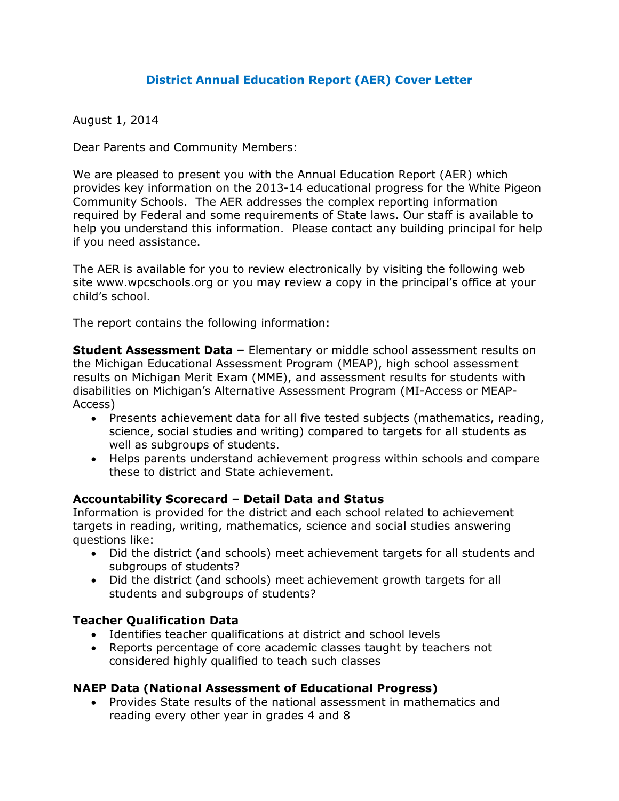### **District Annual Education Report (AER) Cover Letter**

August 1, 2014

Dear Parents and Community Members:

We are pleased to present you with the Annual Education Report (AER) which provides key information on the 2013-14 educational progress for the White Pigeon Community Schools. The AER addresses the complex reporting information required by Federal and some requirements of State laws. Our staff is available to help you understand this information. Please contact any building principal for help if you need assistance.

The AER is available for you to review electronically by visiting the following web site www.wpcschools.org or you may review a copy in the principal's office at your child's school.

The report contains the following information:

**Student Assessment Data –** Elementary or middle school assessment results on the Michigan Educational Assessment Program (MEAP), high school assessment results on Michigan Merit Exam (MME), and assessment results for students with disabilities on Michigan's Alternative Assessment Program (MI-Access or MEAP-Access)

- Presents achievement data for all five tested subjects (mathematics, reading, science, social studies and writing) compared to targets for all students as well as subgroups of students.
- Helps parents understand achievement progress within schools and compare these to district and State achievement.

### **Accountability Scorecard – Detail Data and Status**

Information is provided for the district and each school related to achievement targets in reading, writing, mathematics, science and social studies answering questions like:

- Did the district (and schools) meet achievement targets for all students and subgroups of students?
- Did the district (and schools) meet achievement growth targets for all students and subgroups of students?

### **Teacher Qualification Data**

- Identifies teacher qualifications at district and school levels
- Reports percentage of core academic classes taught by teachers not considered highly qualified to teach such classes

### **NAEP Data (National Assessment of Educational Progress)**

Provides State results of the national assessment in mathematics and reading every other year in grades 4 and 8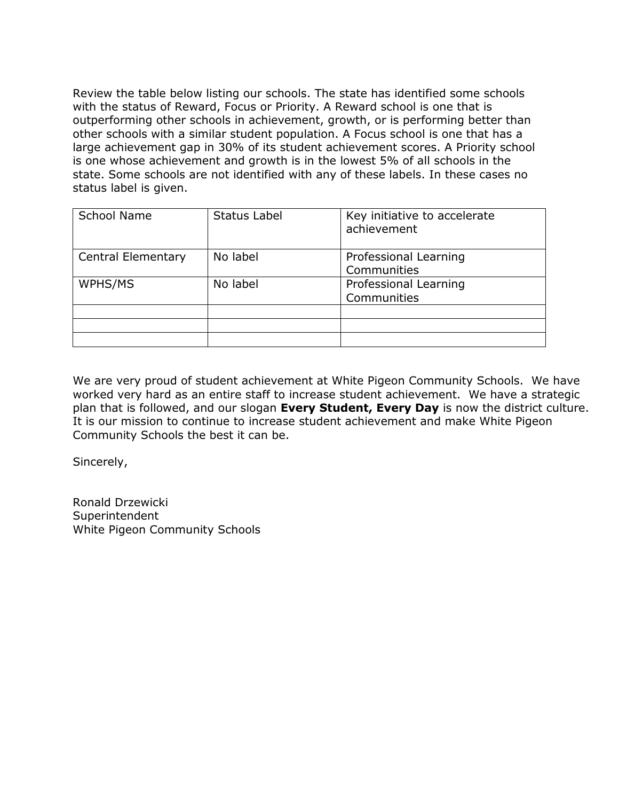Review the table below listing our schools. The state has identified some schools with the status of Reward, Focus or Priority. A Reward school is one that is outperforming other schools in achievement, growth, or is performing better than other schools with a similar student population. A Focus school is one that has a large achievement gap in 30% of its student achievement scores. A Priority school is one whose achievement and growth is in the lowest 5% of all schools in the state. Some schools are not identified with any of these labels. In these cases no status label is given.

| <b>School Name</b>        | Status Label | Key initiative to accelerate<br>achievement |
|---------------------------|--------------|---------------------------------------------|
| <b>Central Elementary</b> | No label     | Professional Learning<br>Communities        |
| WPHS/MS                   | No label     | Professional Learning<br>Communities        |
|                           |              |                                             |

We are very proud of student achievement at White Pigeon Community Schools. We have worked very hard as an entire staff to increase student achievement. We have a strategic plan that is followed, and our slogan **Every Student, Every Day** is now the district culture. It is our mission to continue to increase student achievement and make White Pigeon Community Schools the best it can be.

Sincerely,

Ronald Drzewicki Superintendent White Pigeon Community Schools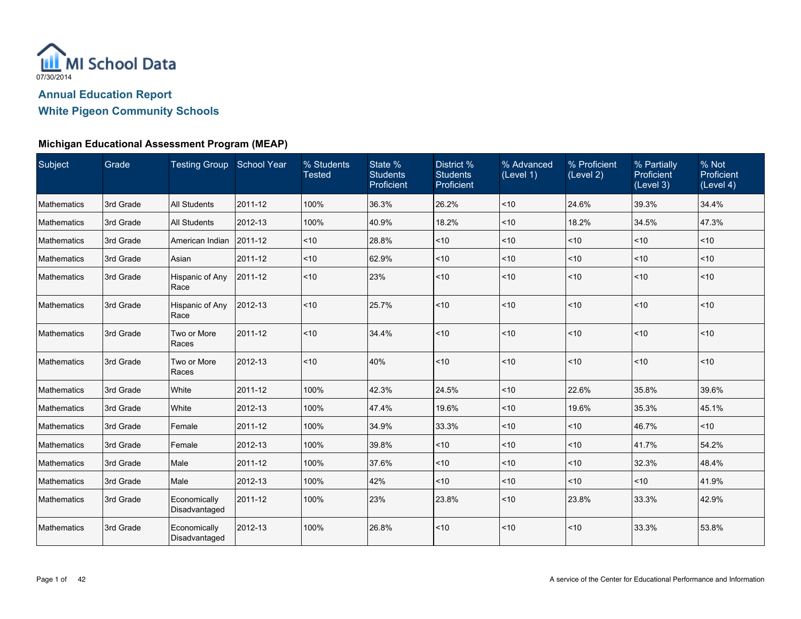

| Subject            | Grade     | Testing Group School Year     |         | % Students<br><b>Tested</b> | State %<br><b>Students</b><br>Proficient | District %<br><b>Students</b><br>Proficient | % Advanced<br>(Level 1) | % Proficient<br>(Level 2) | % Partially<br>Proficient<br>(Level 3) | % Not<br>Proficient<br>(Level 4) |
|--------------------|-----------|-------------------------------|---------|-----------------------------|------------------------------------------|---------------------------------------------|-------------------------|---------------------------|----------------------------------------|----------------------------------|
| Mathematics        | 3rd Grade | <b>All Students</b>           | 2011-12 | 100%                        | 36.3%                                    | 26.2%                                       | ~10                     | 24.6%                     | 39.3%                                  | 34.4%                            |
| Mathematics        | 3rd Grade | <b>All Students</b>           | 2012-13 | 100%                        | 40.9%                                    | 18.2%                                       | $10$                    | 18.2%                     | 34.5%                                  | 47.3%                            |
| Mathematics        | 3rd Grade | American Indian               | 2011-12 | ~10                         | 28.8%                                    | ~10                                         | < 10                    | ~10                       | ~10                                    | < 10                             |
| Mathematics        | 3rd Grade | Asian                         | 2011-12 | ~10                         | 62.9%                                    | $<10$                                       | ~10                     | < 10                      | ~10                                    | ~10                              |
| Mathematics        | 3rd Grade | Hispanic of Any<br>Race       | 2011-12 | < 10                        | 23%                                      | ~10                                         | ~10                     | < 10                      | ~10                                    | < 10                             |
| <b>Mathematics</b> | 3rd Grade | Hispanic of Any<br>Race       | 2012-13 | ~10                         | 25.7%                                    | ~10                                         | < 10                    | $\vert$ < 10              | ~10                                    | < 10                             |
| Mathematics        | 3rd Grade | Two or More<br>Races          | 2011-12 | < 10                        | 34.4%                                    | ~10                                         | < 10                    | $\mathsf{I}$ < 10         | ~10                                    | < 10                             |
| Mathematics        | 3rd Grade | Two or More<br>Races          | 2012-13 | ~10                         | 40%                                      | ~10                                         | < 10                    | < 10                      | ~10                                    | < 10                             |
| Mathematics        | 3rd Grade | White                         | 2011-12 | 100%                        | 42.3%                                    | 24.5%                                       | < 10                    | 22.6%                     | 35.8%                                  | 39.6%                            |
| <b>Mathematics</b> | 3rd Grade | White                         | 2012-13 | 100%                        | 47.4%                                    | 19.6%                                       | < 10                    | 19.6%                     | 35.3%                                  | 45.1%                            |
| <b>Mathematics</b> | 3rd Grade | Female                        | 2011-12 | 100%                        | 34.9%                                    | 33.3%                                       | < 10                    | < 10                      | 46.7%                                  | ~10                              |
| Mathematics        | 3rd Grade | Female                        | 2012-13 | 100%                        | 39.8%                                    | $<10$                                       | < 10                    | $<$ 10                    | 41.7%                                  | 54.2%                            |
| Mathematics        | 3rd Grade | Male                          | 2011-12 | 100%                        | 37.6%                                    | ~10                                         | < 10                    | ~10                       | 32.3%                                  | 48.4%                            |
| Mathematics        | 3rd Grade | Male                          | 2012-13 | 100%                        | 42%                                      | ~10                                         | < 10                    | < 10                      | ~10                                    | 41.9%                            |
| Mathematics        | 3rd Grade | Economically<br>Disadvantaged | 2011-12 | 100%                        | 23%                                      | 23.8%                                       | < 10                    | 23.8%                     | 33.3%                                  | 42.9%                            |
| Mathematics        | 3rd Grade | Economically<br>Disadvantaged | 2012-13 | 100%                        | 26.8%                                    | $<10$                                       | < 10                    | < 10                      | 33.3%                                  | 53.8%                            |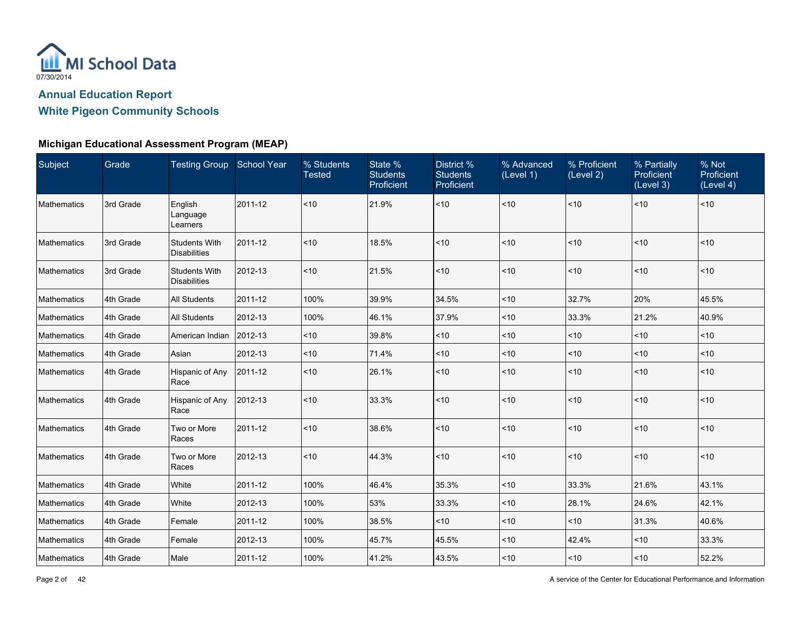

| Subject            | Grade     | Testing Group School Year                   |         | % Students<br><b>Tested</b> | State %<br><b>Students</b><br>Proficient | District %<br><b>Students</b><br>Proficient | % Advanced<br>(Level 1) | % Proficient<br>(Level 2) | % Partially<br>Proficient<br>$\overline{L}$ evel 3) | % Not<br>Proficient<br>(Level 4) |
|--------------------|-----------|---------------------------------------------|---------|-----------------------------|------------------------------------------|---------------------------------------------|-------------------------|---------------------------|-----------------------------------------------------|----------------------------------|
| Mathematics        | 3rd Grade | English<br>Language<br>Learners             | 2011-12 | ~10                         | 21.9%                                    | ~10                                         | ~10                     | ~10                       | ~10                                                 | < 10                             |
| <b>Mathematics</b> | 3rd Grade | <b>Students With</b><br><b>Disabilities</b> | 2011-12 | < 10                        | 18.5%                                    | ~10                                         | < 10                    | ~10                       | ~10                                                 | < 10                             |
| Mathematics        | 3rd Grade | <b>Students With</b><br><b>Disabilities</b> | 2012-13 | ~10                         | 21.5%                                    | ~10                                         | < 10                    | ~10                       | ~10                                                 | $ $ < 10                         |
| Mathematics        | 4th Grade | <b>All Students</b>                         | 2011-12 | 100%                        | 39.9%                                    | 34.5%                                       | < 10                    | 32.7%                     | 20%                                                 | 45.5%                            |
| Mathematics        | 4th Grade | All Students                                | 2012-13 | 100%                        | 46.1%                                    | 37.9%                                       | < 10                    | 33.3%                     | 21.2%                                               | 40.9%                            |
| <b>Mathematics</b> | 4th Grade | American Indian                             | 2012-13 | < 10                        | 39.8%                                    | $10$                                        | < 10                    | < 10                      | ~10                                                 | $<$ 10                           |
| <b>Mathematics</b> | 4th Grade | Asian                                       | 2012-13 | < 10                        | 71.4%                                    | < 10                                        | < 10                    | < 10                      | ~10                                                 | $<$ 10                           |
| <b>Mathematics</b> | 4th Grade | Hispanic of Any<br>Race                     | 2011-12 | < 10                        | 26.1%                                    | ~10                                         | < 10                    | < 10                      | ~10                                                 | < 10                             |
| Mathematics        | 4th Grade | Hispanic of Any<br>Race                     | 2012-13 | ~10                         | 33.3%                                    | ~10                                         | < 10                    | ~10                       | ~10                                                 | < 10                             |
| <b>Mathematics</b> | 4th Grade | Two or More<br>Races                        | 2011-12 | ~10                         | 38.6%                                    | ~10                                         | < 10                    | ~10                       | ~10                                                 | ~10                              |
| <b>Mathematics</b> | 4th Grade | Two or More<br>Races                        | 2012-13 | < 10                        | 44.3%                                    | ~10                                         | < 10                    | ~10                       | ~10                                                 | < 10                             |
| <b>Mathematics</b> | 4th Grade | White                                       | 2011-12 | 100%                        | 46.4%                                    | 35.3%                                       | < 10                    | 33.3%                     | 21.6%                                               | 43.1%                            |
| <b>Mathematics</b> | 4th Grade | White                                       | 2012-13 | 100%                        | 53%                                      | 33.3%                                       | < 10                    | 28.1%                     | 24.6%                                               | 42.1%                            |
| Mathematics        | 4th Grade | Female                                      | 2011-12 | 100%                        | 38.5%                                    | ~10                                         | ~10                     | $<$ 10                    | 31.3%                                               | 40.6%                            |
| <b>Mathematics</b> | 4th Grade | Female                                      | 2012-13 | 100%                        | 45.7%                                    | 45.5%                                       | ~10                     | 42.4%                     | ~10                                                 | 33.3%                            |
| Mathematics        | 4th Grade | Male                                        | 2011-12 | 100%                        | 41.2%                                    | 43.5%                                       | ~10                     | < 10                      | $<10$                                               | 52.2%                            |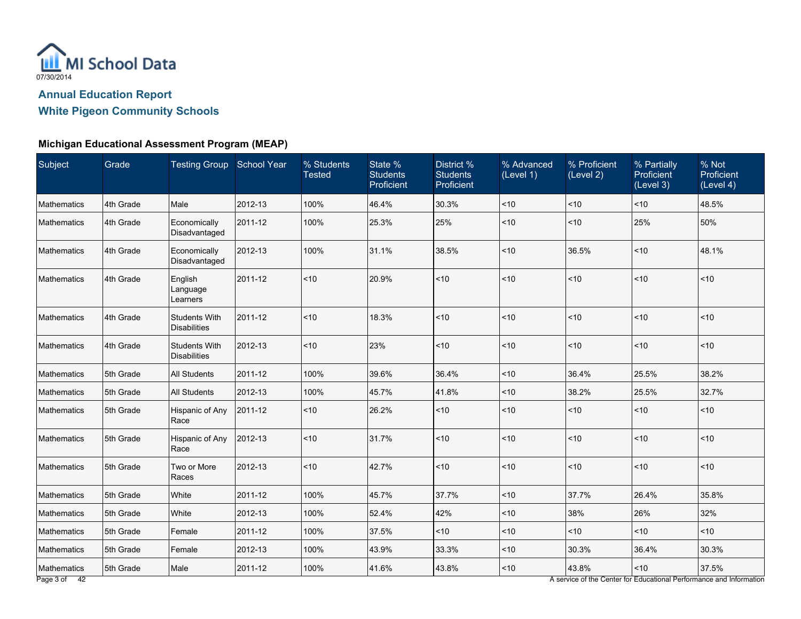

| Male<br>Economically<br>Disadvantaged<br>Economically<br>Disadvantaged<br>English<br>Language<br>Learners | 2012-13<br>2011-12<br>2012-13<br>2011-12 | 100%<br>100%<br>100% | 46.4%<br>25.3%<br>31.1% | 30.3%<br>25% | $ $ < 10<br>$ $ < 10                                                            | < 10<br>< 10 | ~10<br>25% | 48.5%<br>50% |
|-----------------------------------------------------------------------------------------------------------|------------------------------------------|----------------------|-------------------------|--------------|---------------------------------------------------------------------------------|--------------|------------|--------------|
|                                                                                                           |                                          |                      |                         |              |                                                                                 |              |            |              |
|                                                                                                           |                                          |                      |                         |              |                                                                                 |              |            |              |
|                                                                                                           |                                          |                      |                         | 38.5%        | $ $ < 10                                                                        | 36.5%        | < 10       | 48.1%        |
|                                                                                                           |                                          | < 10                 | 20.9%                   | < 10         | $ $ < 10                                                                        | < 10         | < 10       | ~10          |
| <b>Students With</b><br><b>Disabilities</b>                                                               | 2011-12                                  | < 10                 | 18.3%                   | ~10          | $ $ < 10                                                                        | < 10         | < 10       | ~10          |
| <b>Students With</b><br><b>Disabilities</b>                                                               | 2012-13                                  | ~10                  | 23%                     | ~10          | $ $ < 10                                                                        | ~10          | ~10        | $<$ 10       |
| <b>All Students</b>                                                                                       | 2011-12                                  | 100%                 | 39.6%                   | 36.4%        | $ $ < 10                                                                        | 36.4%        | 25.5%      | 38.2%        |
| <b>All Students</b>                                                                                       | 2012-13                                  | 100%                 | 45.7%                   | 41.8%        | $ $ < 10                                                                        | 38.2%        | 25.5%      | 32.7%        |
| Hispanic of Any<br>Race                                                                                   | 2011-12                                  | < 10                 | 26.2%                   | ~10          | $ $ < 10                                                                        | ~10          | < 10       | ~10          |
| Hispanic of Any<br>Race                                                                                   | 2012-13                                  | ~10                  | 31.7%                   | ~10          | $ $ < 10                                                                        | < 10         | ~10        | ~10          |
| Two or More<br>Races                                                                                      | 2012-13                                  | ~10                  | 42.7%                   | ~10          | $ $ < 10                                                                        | < 10         | ~10        | ~10          |
| White                                                                                                     | 2011-12                                  | 100%                 | 45.7%                   | 37.7%        | $ $ < 10                                                                        | 37.7%        | 26.4%      | 35.8%        |
| White                                                                                                     | 2012-13                                  | 100%                 | 52.4%                   | 42%          | $ $ < 10                                                                        | 38%          | 26%        | 32%          |
| Female                                                                                                    | 2011-12                                  | 100%                 | 37.5%                   | ~10          | $ $ < 10                                                                        | < 10         | < 10       | ~10          |
| Female                                                                                                    | 2012-13                                  | 100%                 | 43.9%                   | 33.3%        | $ $ < 10                                                                        | 30.3%        | 36.4%      | 30.3%        |
| Male                                                                                                      | 2011-12                                  | 100%                 | 41.6%                   | 43.8%        | $ $ < 10<br>A service of the Center for Educational Performance and Information | 43.8%        | < 10       | 37.5%        |
|                                                                                                           |                                          |                      |                         |              |                                                                                 |              |            |              |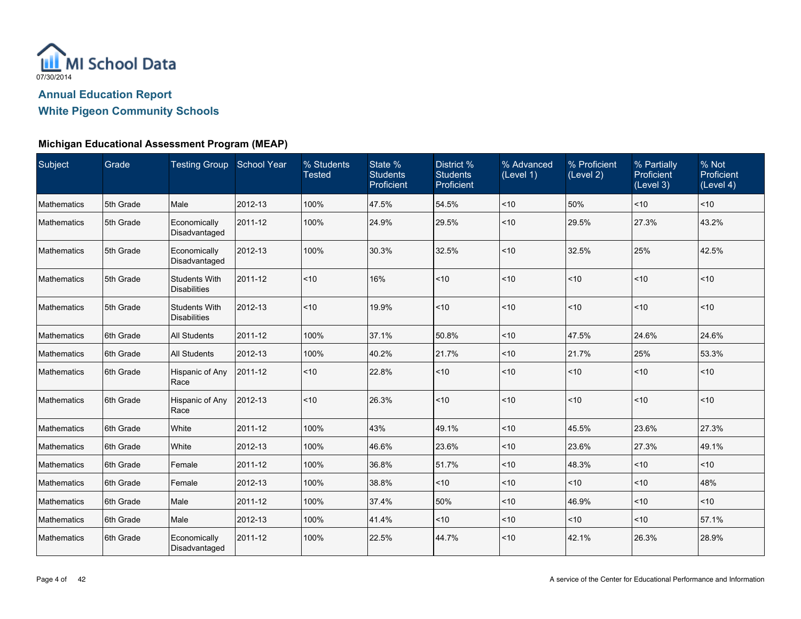

| Subject            | Grade     | Testing Group School Year                   |         | % Students<br><b>Tested</b> | State %<br><b>Students</b><br>Proficient | District %<br><b>Students</b><br>Proficient | % Advanced<br>(Level 1) | % Proficient<br>(Level 2) | % Partially<br><b>Proficient</b><br>(Level 3) | % Not<br>Proficient<br>(Level 4) |
|--------------------|-----------|---------------------------------------------|---------|-----------------------------|------------------------------------------|---------------------------------------------|-------------------------|---------------------------|-----------------------------------------------|----------------------------------|
| Mathematics        | 5th Grade | Male                                        | 2012-13 | 100%                        | 47.5%                                    | 54.5%                                       | ~10                     | 50%                       | $ $ < 10                                      | $ $ < 10                         |
| Mathematics        | 5th Grade | Economically<br>Disadvantaged               | 2011-12 | 100%                        | 24.9%                                    | 29.5%                                       | < 10                    | 29.5%                     | 27.3%                                         | 43.2%                            |
| Mathematics        | 5th Grade | Economically<br>Disadvantaged               | 2012-13 | 100%                        | 30.3%                                    | 32.5%                                       | ~10                     | 32.5%                     | 25%                                           | 42.5%                            |
| Mathematics        | 5th Grade | <b>Students With</b><br><b>Disabilities</b> | 2011-12 | < 10                        | 16%                                      | ~10                                         | < 10                    | ~10                       | < 10                                          | $ $ < 10                         |
| <b>Mathematics</b> | 5th Grade | <b>Students With</b><br><b>Disabilities</b> | 2012-13 | < 10                        | 19.9%                                    | ~10                                         | < 10                    | ~10                       | $ $ < 10                                      | $\leq 10$                        |
| Mathematics        | 6th Grade | <b>All Students</b>                         | 2011-12 | 100%                        | 37.1%                                    | 50.8%                                       | < 10                    | 47.5%                     | 24.6%                                         | 24.6%                            |
| Mathematics        | 6th Grade | <b>All Students</b>                         | 2012-13 | 100%                        | 40.2%                                    | 21.7%                                       | ~10                     | 21.7%                     | 25%                                           | 53.3%                            |
| <b>Mathematics</b> | 6th Grade | Hispanic of Any<br>Race                     | 2011-12 | ~10                         | 22.8%                                    | ~10                                         | < 10                    | ~10                       | $ $ < 10                                      | $\leq 10$                        |
| <b>Mathematics</b> | 6th Grade | Hispanic of Any<br>Race                     | 2012-13 | ~10                         | 26.3%                                    | ~10                                         | < 10                    | ~10                       | $ $ < 10                                      | $ $ < 10                         |
| <b>Mathematics</b> | 6th Grade | White                                       | 2011-12 | 100%                        | 43%                                      | 49.1%                                       | < 10                    | 45.5%                     | 23.6%                                         | 27.3%                            |
| Mathematics        | 6th Grade | White                                       | 2012-13 | 100%                        | 46.6%                                    | 23.6%                                       | < 10                    | 23.6%                     | 27.3%                                         | 49.1%                            |
| Mathematics        | 6th Grade | Female                                      | 2011-12 | 100%                        | 36.8%                                    | 51.7%                                       | ~10                     | 48.3%                     | $ $ < 10                                      | $ $ < 10                         |
| Mathematics        | 6th Grade | Female                                      | 2012-13 | 100%                        | 38.8%                                    | ~10                                         | ~10                     | ~10                       | $ $ < 10                                      | 48%                              |
| Mathematics        | 6th Grade | Male                                        | 2011-12 | 100%                        | 37.4%                                    | 50%                                         | < 10                    | 46.9%                     | ~10                                           | $\vert$ < 10                     |
| <b>Mathematics</b> | 6th Grade | Male                                        | 2012-13 | 100%                        | 41.4%                                    | < 10                                        | < 10                    | ~10                       | $ $ < 10                                      | 57.1%                            |
| Mathematics        | 6th Grade | Economically<br>Disadvantaged               | 2011-12 | 100%                        | 22.5%                                    | 44.7%                                       | ~10                     | 42.1%                     | 26.3%                                         | 28.9%                            |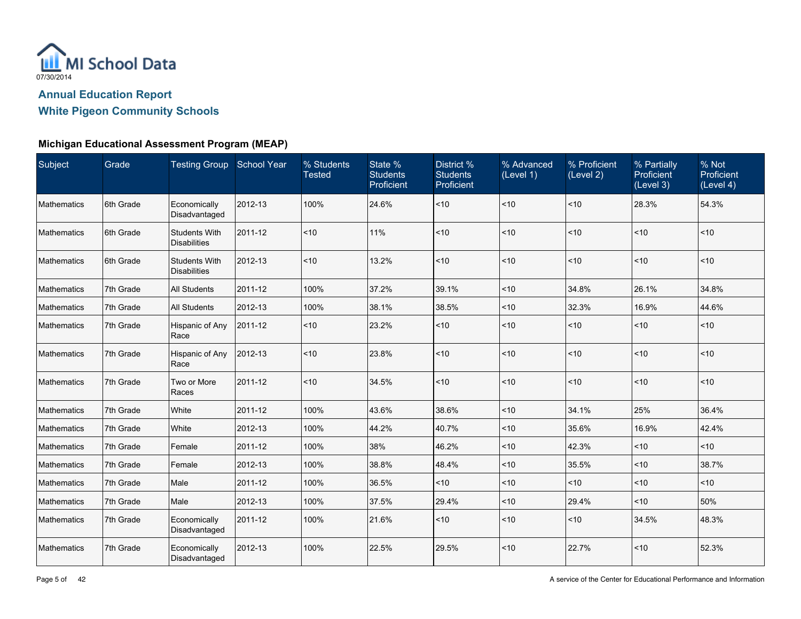

| Subject     | Grade     | Testing Group School Year                   |         | % Students<br><b>Tested</b> | State %<br><b>Students</b><br>Proficient | District %<br><b>Students</b><br>Proficient | % Advanced<br>(Level 1) | % Proficient<br>(Level 2) | % Partially<br><b>Proficient</b><br>(Level 3) | % Not<br>Proficient<br>(Level 4) |
|-------------|-----------|---------------------------------------------|---------|-----------------------------|------------------------------------------|---------------------------------------------|-------------------------|---------------------------|-----------------------------------------------|----------------------------------|
| Mathematics | 6th Grade | Economically<br>Disadvantaged               | 2012-13 | 100%                        | 24.6%                                    | $<10$                                       | < 10                    | ~10                       | 28.3%                                         | 54.3%                            |
| Mathematics | 6th Grade | <b>Students With</b><br><b>Disabilities</b> | 2011-12 | < 10                        | 11%                                      | $<10$                                       | < 10                    | < 10                      | ~10                                           | $<$ 10                           |
| Mathematics | 6th Grade | <b>Students With</b><br><b>Disabilities</b> | 2012-13 | < 10                        | 13.2%                                    | $<10$                                       | < 10                    | < 10                      | ~10                                           | < 10                             |
| Mathematics | 7th Grade | <b>All Students</b>                         | 2011-12 | 100%                        | 37.2%                                    | 39.1%                                       | ~10                     | 34.8%                     | 26.1%                                         | 34.8%                            |
| Mathematics | 7th Grade | <b>All Students</b>                         | 2012-13 | 100%                        | 38.1%                                    | 38.5%                                       | < 10                    | 32.3%                     | 16.9%                                         | 44.6%                            |
| Mathematics | 7th Grade | Hispanic of Any<br>Race                     | 2011-12 | < 10                        | 23.2%                                    | $<10$                                       | < 10                    | < 10                      | ~10                                           | ~10                              |
| Mathematics | 7th Grade | Hispanic of Any<br>Race                     | 2012-13 | < 10                        | 23.8%                                    | ~10                                         | < 10                    | < 10                      | ~10                                           | < 10                             |
| Mathematics | 7th Grade | Two or More<br>Races                        | 2011-12 | ~10                         | 34.5%                                    | ~10                                         | < 10                    | < 10                      | ~10                                           | < 10                             |
| Mathematics | 7th Grade | White                                       | 2011-12 | 100%                        | 43.6%                                    | 38.6%                                       | < 10                    | 34.1%                     | 25%                                           | 36.4%                            |
| Mathematics | 7th Grade | White                                       | 2012-13 | 100%                        | 44.2%                                    | 40.7%                                       | < 10                    | 35.6%                     | 16.9%                                         | 42.4%                            |
| Mathematics | 7th Grade | Female                                      | 2011-12 | 100%                        | 38%                                      | 46.2%                                       | < 10                    | 42.3%                     | < 10                                          | $<$ 10                           |
| Mathematics | 7th Grade | Female                                      | 2012-13 | 100%                        | 38.8%                                    | 48.4%                                       | < 10                    | 35.5%                     | < 10                                          | 38.7%                            |
| Mathematics | 7th Grade | Male                                        | 2011-12 | 100%                        | 36.5%                                    | ~10                                         | < 10                    | ~10                       | ~10                                           | ~10                              |
| Mathematics | 7th Grade | Male                                        | 2012-13 | 100%                        | 37.5%                                    | 29.4%                                       | ~10                     | 29.4%                     | < 10                                          | 50%                              |
| Mathematics | 7th Grade | Economically<br>Disadvantaged               | 2011-12 | 100%                        | 21.6%                                    | ~10                                         | < 10                    | < 10                      | 34.5%                                         | 48.3%                            |
| Mathematics | 7th Grade | Economically<br>Disadvantaged               | 2012-13 | 100%                        | 22.5%                                    | 29.5%                                       | ~10                     | 22.7%                     | ~10                                           | 52.3%                            |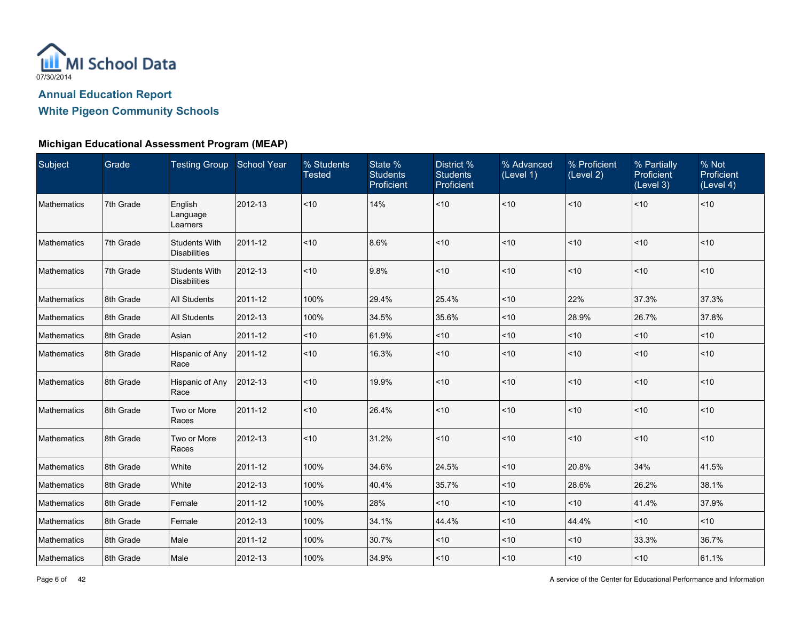

| Subject            | Grade     | Testing Group School Year                   |         | % Students<br><b>Tested</b> | State %<br><b>Students</b><br>Proficient | District %<br><b>Students</b><br>Proficient | % Advanced<br>(Level 1) | % Proficient<br>(Level 2) | % Partially<br>Proficient<br>(Level 3) | % Not<br>Proficient<br>(Level 4) |
|--------------------|-----------|---------------------------------------------|---------|-----------------------------|------------------------------------------|---------------------------------------------|-------------------------|---------------------------|----------------------------------------|----------------------------------|
| <b>Mathematics</b> | 7th Grade | English<br>Language<br>Learners             | 2012-13 | < 10                        | 14%                                      | ~10                                         | $ $ < 10                | ~10                       | ~10                                    | $ $ < 10                         |
| <b>Mathematics</b> | 7th Grade | <b>Students With</b><br><b>Disabilities</b> | 2011-12 | < 10                        | 8.6%                                     | ~10                                         | $ $ < 10                | < 10                      | ~10                                    | < 10                             |
| Mathematics        | 7th Grade | <b>Students With</b><br><b>Disabilities</b> | 2012-13 | < 10                        | 9.8%                                     | $<10$                                       | $ $ < 10                | < 10                      | ~10                                    | $ $ < 10                         |
| Mathematics        | 8th Grade | <b>All Students</b>                         | 2011-12 | 100%                        | 29.4%                                    | 25.4%                                       | $ $ < 10                | 22%                       | 37.3%                                  | 37.3%                            |
| <b>Mathematics</b> | 8th Grade | <b>All Students</b>                         | 2012-13 | 100%                        | 34.5%                                    | 35.6%                                       | $ $ < 10                | 28.9%                     | 26.7%                                  | 37.8%                            |
| <b>Mathematics</b> | 8th Grade | Asian                                       | 2011-12 | ~10                         | 61.9%                                    | ~10                                         | $ $ < 10                | ~10                       | ~10                                    | < 10                             |
| <b>Mathematics</b> | 8th Grade | Hispanic of Any<br>Race                     | 2011-12 | < 10                        | 16.3%                                    | $<10$                                       | $ $ < 10                | < 10                      | ~10                                    | < 10                             |
| <b>Mathematics</b> | 8th Grade | Hispanic of Any<br>Race                     | 2012-13 | ~10                         | 19.9%                                    | $<10$                                       | $ $ < 10                | < 10                      | ~10                                    | $ $ < 10                         |
| Mathematics        | 8th Grade | Two or More<br>Races                        | 2011-12 | ~10                         | 26.4%                                    | ~10                                         | $ $ < 10                | < 10                      | ~10                                    | $ $ < 10                         |
| <b>Mathematics</b> | 8th Grade | Two or More<br>Races                        | 2012-13 | < 10                        | 31.2%                                    | ~10                                         | $ $ < 10                | < 10                      | ~10                                    | < 10                             |
| Mathematics        | 8th Grade | White                                       | 2011-12 | 100%                        | 34.6%                                    | 24.5%                                       | $ $ < 10                | 20.8%                     | 34%                                    | 41.5%                            |
| Mathematics        | 8th Grade | White                                       | 2012-13 | 100%                        | 40.4%                                    | 35.7%                                       | $<$ 10                  | 28.6%                     | 26.2%                                  | 38.1%                            |
| <b>Mathematics</b> | 8th Grade | Female                                      | 2011-12 | 100%                        | 28%                                      | ~10                                         | $ $ < 10                | < 10                      | 41.4%                                  | 37.9%                            |
| Mathematics        | 8th Grade | Female                                      | 2012-13 | 100%                        | 34.1%                                    | 44.4%                                       | $ $ < 10                | 44.4%                     | ~10                                    | < 10                             |
| Mathematics        | 8th Grade | Male                                        | 2011-12 | 100%                        | 30.7%                                    | ~10                                         | $ $ < 10                | ~10                       | 33.3%                                  | 36.7%                            |
| Mathematics        | 8th Grade | Male                                        | 2012-13 | 100%                        | 34.9%                                    | $<10$                                       | $ $ < 10                | < 10                      | ~10                                    | 61.1%                            |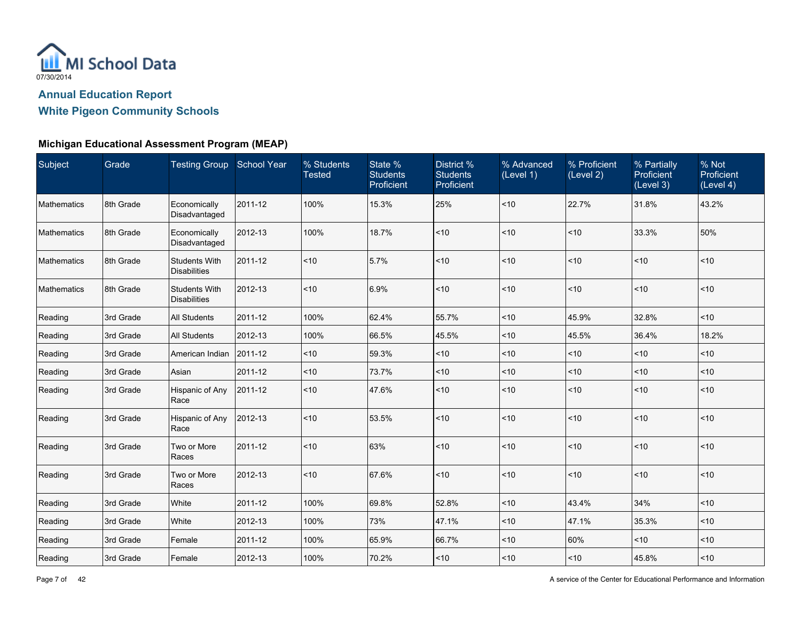

| Subject            | Grade     | Testing Group School Year                   |         | % Students<br><b>Tested</b> | State %<br><b>Students</b><br>Proficient | District %<br><b>Students</b><br>Proficient | % Advanced<br>(Level 1) | % Proficient<br>(Level 2) | % Partially<br>Proficient<br>(Level 3) | % Not<br>Proficient<br>(Level 4) |
|--------------------|-----------|---------------------------------------------|---------|-----------------------------|------------------------------------------|---------------------------------------------|-------------------------|---------------------------|----------------------------------------|----------------------------------|
| <b>Mathematics</b> | 8th Grade | Economically<br>Disadvantaged               | 2011-12 | 100%                        | 15.3%                                    | 25%                                         | < 10                    | 22.7%                     | 31.8%                                  | 43.2%                            |
| <b>Mathematics</b> | 8th Grade | Economically<br>Disadvantaged               | 2012-13 | 100%                        | 18.7%                                    | ~10                                         | < 10                    | < 10                      | 33.3%                                  | 50%                              |
| <b>Mathematics</b> | 8th Grade | <b>Students With</b><br><b>Disabilities</b> | 2011-12 | < 10                        | 5.7%                                     | ~10                                         | < 10                    | < 10                      | ~10                                    | < 10                             |
| <b>Mathematics</b> | 8th Grade | <b>Students With</b><br><b>Disabilities</b> | 2012-13 | < 10                        | 6.9%                                     | ~10                                         | < 10                    | < 10                      | ~10                                    | < 10                             |
| Reading            | 3rd Grade | <b>All Students</b>                         | 2011-12 | 100%                        | 62.4%                                    | 55.7%                                       | < 10                    | 45.9%                     | 32.8%                                  | $<$ 10                           |
| Reading            | 3rd Grade | <b>All Students</b>                         | 2012-13 | 100%                        | 66.5%                                    | 45.5%                                       | ~10                     | 45.5%                     | 36.4%                                  | 18.2%                            |
| Reading            | 3rd Grade | American Indian                             | 2011-12 | ~10                         | 59.3%                                    | < 10                                        | < 10                    | < 10                      | ~10                                    | < 10                             |
| Reading            | 3rd Grade | Asian                                       | 2011-12 | < 10                        | 73.7%                                    | ~10                                         | < 10                    | ~10                       | ~10                                    | ~10                              |
| Reading            | 3rd Grade | Hispanic of Any<br>Race                     | 2011-12 | ~10                         | 47.6%                                    | ~10                                         | ~10                     | ~10                       | ~10                                    | < 10                             |
| Reading            | 3rd Grade | Hispanic of Any<br>Race                     | 2012-13 | < 10                        | 53.5%                                    | ~10                                         | < 10                    | ~10                       | ~10                                    | < 10                             |
| Reading            | 3rd Grade | Two or More<br>Races                        | 2011-12 | ~10                         | 63%                                      | $10$                                        | < 10                    | $<$ 10                    | $<10$                                  | < 10                             |
| Reading            | 3rd Grade | Two or More<br>Races                        | 2012-13 | < 10                        | 67.6%                                    | < 10                                        | < 10                    | < 10                      | ~10                                    | $ $ < 10                         |
| Reading            | 3rd Grade | White                                       | 2011-12 | 100%                        | 69.8%                                    | 52.8%                                       | < 10                    | 43.4%                     | 34%                                    | < 10                             |
| Reading            | 3rd Grade | White                                       | 2012-13 | 100%                        | 73%                                      | 47.1%                                       | ~10                     | 47.1%                     | 35.3%                                  | ~10                              |
| Reading            | 3rd Grade | Female                                      | 2011-12 | 100%                        | 65.9%                                    | 66.7%                                       | ~10                     | 60%                       | ~10                                    | $<$ 10                           |
| Reading            | 3rd Grade | Female                                      | 2012-13 | 100%                        | 70.2%                                    | ~10                                         | ~10                     | $<$ 10                    | 45.8%                                  | ~10                              |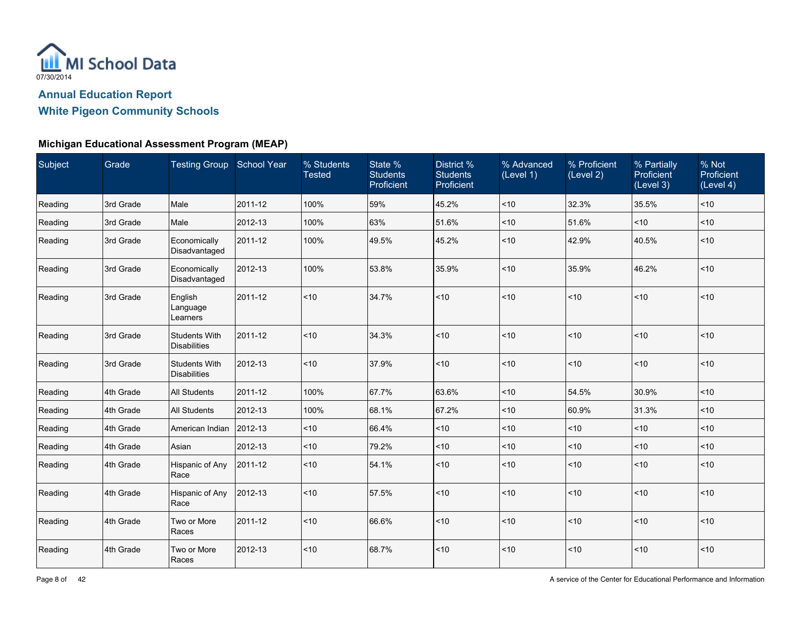

| Subject | Grade     | Testing Group School Year                   |         | % Students<br><b>Tested</b> | State %<br><b>Students</b><br>Proficient | District %<br><b>Students</b><br>Proficient | % Advanced<br>(Level 1) | % Proficient<br>(Level 2) | % Partially<br><b>Proficient</b><br>(Level 3) | % Not<br>Proficient<br>(Level 4) |
|---------|-----------|---------------------------------------------|---------|-----------------------------|------------------------------------------|---------------------------------------------|-------------------------|---------------------------|-----------------------------------------------|----------------------------------|
| Reading | 3rd Grade | Male                                        | 2011-12 | 100%                        | 59%                                      | 45.2%                                       | ~10                     | 32.3%                     | 35.5%                                         | ~10                              |
| Reading | 3rd Grade | Male                                        | 2012-13 | 100%                        | 63%                                      | 51.6%                                       | < 10                    | 51.6%                     | ~10                                           | $<$ 10                           |
| Reading | 3rd Grade | Economically<br>Disadvantaged               | 2011-12 | 100%                        | 49.5%                                    | 45.2%                                       | ~10                     | 42.9%                     | 40.5%                                         | ~10                              |
| Reading | 3rd Grade | Economically<br>Disadvantaged               | 2012-13 | 100%                        | 53.8%                                    | 35.9%                                       | < 10                    | 35.9%                     | 46.2%                                         | ~10                              |
| Reading | 3rd Grade | English<br>Language<br>Learners             | 2011-12 | ~10                         | 34.7%                                    | $<10$                                       | < 10                    | ~10                       | ~10                                           | < 10                             |
| Reading | 3rd Grade | <b>Students With</b><br><b>Disabilities</b> | 2011-12 | ~10                         | 34.3%                                    | ~10                                         | < 10                    | < 10                      | ~10                                           | ~10                              |
| Reading | 3rd Grade | <b>Students With</b><br><b>Disabilities</b> | 2012-13 | ~10                         | 37.9%                                    | ~10                                         | < 10                    | < 10                      | ~10                                           | ~10                              |
| Reading | 4th Grade | <b>All Students</b>                         | 2011-12 | 100%                        | 67.7%                                    | 63.6%                                       | < 10                    | 54.5%                     | 30.9%                                         | ~10                              |
| Reading | 4th Grade | <b>All Students</b>                         | 2012-13 | 100%                        | 68.1%                                    | 67.2%                                       | ~10                     | 60.9%                     | 31.3%                                         | < 10                             |
| Reading | 4th Grade | American Indian                             | 2012-13 | $<10$                       | 66.4%                                    | $<10$                                       | ~10                     | ~10                       | ~10                                           | ~10                              |
| Reading | 4th Grade | Asian                                       | 2012-13 | < 10                        | 79.2%                                    | ~10                                         | ~10                     | ~10                       | ~10                                           | ~10                              |
| Reading | 4th Grade | Hispanic of Any<br>Race                     | 2011-12 | ~10                         | 54.1%                                    | ~10                                         | < 10                    | $<$ 10                    | < 10                                          | ~10                              |
| Reading | 4th Grade | Hispanic of Any<br>Race                     | 2012-13 | $<10$                       | 57.5%                                    | ~10                                         | ~10                     | < 10                      | ~10                                           | ~10                              |
| Reading | 4th Grade | Two or More<br>Races                        | 2011-12 | ~10                         | 66.6%                                    | $<10$                                       | < 10                    | ~10                       | ~10                                           | ~10                              |
| Reading | 4th Grade | Two or More<br>Races                        | 2012-13 | $<10$                       | 68.7%                                    | ~10                                         | < 10                    | < 10                      | ~10                                           | < 10                             |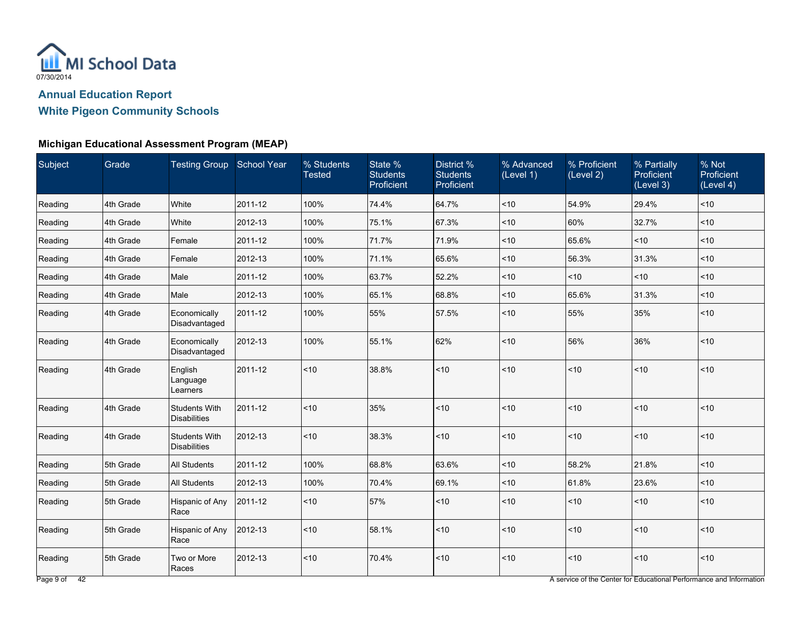

### **Michigan Educational Assessment Program (MEAP)**

| Subject | Grade     | <b>Testing Group School Year</b>            |         | % Students<br><b>Tested</b> | State %<br><b>Students</b><br>Proficient | District %<br><b>Students</b><br>Proficient | % Advanced<br>(Level 1) | % Proficient<br>(Level 2) | % Partially<br>Proficient<br>(Level 3) | % Not<br>Proficient<br>(Level 4) |
|---------|-----------|---------------------------------------------|---------|-----------------------------|------------------------------------------|---------------------------------------------|-------------------------|---------------------------|----------------------------------------|----------------------------------|
| Reading | 4th Grade | White                                       | 2011-12 | 100%                        | 74.4%                                    | 64.7%                                       | < 10                    | 54.9%                     | 29.4%                                  | < 10                             |
| Reading | 4th Grade | White                                       | 2012-13 | 100%                        | 75.1%                                    | 67.3%                                       | < 10                    | 60%                       | 32.7%                                  | ~10                              |
| Reading | 4th Grade | Female                                      | 2011-12 | 100%                        | 71.7%                                    | 71.9%                                       | < 10                    | 65.6%                     | < 10                                   | $<$ 10                           |
| Reading | 4th Grade | Female                                      | 2012-13 | 100%                        | 71.1%                                    | 65.6%                                       | $10$                    | 56.3%                     | 31.3%                                  | ~10                              |
| Reading | 4th Grade | Male                                        | 2011-12 | 100%                        | 63.7%                                    | 52.2%                                       | $10$                    | ~10                       | ~10                                    | $<$ 10                           |
| Reading | 4th Grade | Male                                        | 2012-13 | 100%                        | 65.1%                                    | 68.8%                                       | $<$ 10                  | 65.6%                     | 31.3%                                  | ~10                              |
| Reading | 4th Grade | Economically<br>Disadvantaged               | 2011-12 | 100%                        | 55%                                      | 57.5%                                       | < 10                    | 55%                       | 35%                                    | $<$ 10                           |
| Reading | 4th Grade | Economically<br>Disadvantaged               | 2012-13 | 100%                        | 55.1%                                    | 62%                                         | < 10                    | 56%                       | 36%                                    | $<$ 10                           |
| Reading | 4th Grade | English<br>Language<br>Learners             | 2011-12 | ~10                         | 38.8%                                    | $<10$                                       | ~10                     | ~10                       | ~10                                    | ~10                              |
| Reading | 4th Grade | <b>Students With</b><br><b>Disabilities</b> | 2011-12 | ~10                         | 35%                                      | ~10                                         | < 10                    | ~10                       | ~10                                    | ~10                              |
| Reading | 4th Grade | <b>Students With</b><br><b>Disabilities</b> | 2012-13 | < 10                        | 38.3%                                    | ~10                                         | < 10                    | ~10                       | ~10                                    | ~10                              |
| Reading | 5th Grade | <b>All Students</b>                         | 2011-12 | 100%                        | 68.8%                                    | 63.6%                                       | < 10                    | 58.2%                     | 21.8%                                  | $<$ 10                           |
| Reading | 5th Grade | <b>All Students</b>                         | 2012-13 | 100%                        | 70.4%                                    | 69.1%                                       | $10$                    | 61.8%                     | 23.6%                                  | ~10                              |
| Reading | 5th Grade | Hispanic of Any<br>Race                     | 2011-12 | < 10                        | 57%                                      | ~10                                         | < 10                    | ~10                       | ~10                                    | ~10                              |
| Reading | 5th Grade | Hispanic of Any<br>Race                     | 2012-13 | ~10                         | 58.1%                                    | $<10$                                       | < 10                    | ~10                       | ~10                                    | ~10                              |
| Reading | 5th Grade | Two or More<br>Races                        | 2012-13 | ~10                         | 70.4%                                    | ~10                                         | < 10                    | ~10                       | $<10$                                  | ~10                              |

Page 9 of 42 **A service of the Center for Educational Performance and Information**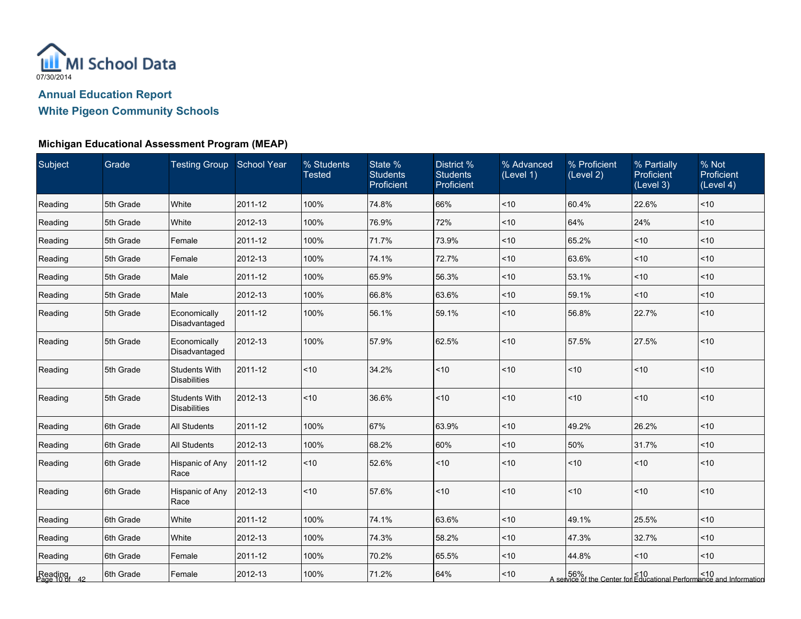

| Subject                  | Grade      | <b>Testing Group School Year</b>            |         | % Students<br><b>Tested</b> | State %<br><b>Students</b><br>Proficient | District %<br><b>Students</b><br>Proficient | % Advanced<br>(Level 1) | % Proficient<br>(Level 2) | % Partially<br>Proficient<br>(Level 3) | % Not<br>Proficient<br>(Level 4)                                                 |
|--------------------------|------------|---------------------------------------------|---------|-----------------------------|------------------------------------------|---------------------------------------------|-------------------------|---------------------------|----------------------------------------|----------------------------------------------------------------------------------|
| Reading                  | 5th Grade  | White                                       | 2011-12 | 100%                        | 74.8%                                    | 66%                                         | ~10                     | 60.4%                     | 22.6%                                  | < 10                                                                             |
| Reading                  | 5th Grade  | White                                       | 2012-13 | 100%                        | 76.9%                                    | 72%                                         | < 10                    | 64%                       | 24%                                    | ~10                                                                              |
| Reading                  | 5th Grade  | Female                                      | 2011-12 | 100%                        | 71.7%                                    | 73.9%                                       | ~10                     | 65.2%                     | ~10                                    | ~10                                                                              |
| Reading                  | 5th Grade  | Female                                      | 2012-13 | 100%                        | 74.1%                                    | 72.7%                                       | ~10                     | 63.6%                     | ~10                                    | ~10                                                                              |
| Reading                  | 5th Grade  | Male                                        | 2011-12 | 100%                        | 65.9%                                    | 56.3%                                       | ~10                     | 53.1%                     | ~10                                    | < 10                                                                             |
| Reading                  | 5th Grade  | Male                                        | 2012-13 | 100%                        | 66.8%                                    | 63.6%                                       | ~10                     | 59.1%                     | ~10                                    | $<$ 10                                                                           |
| Reading                  | 5th Grade  | Economically<br>Disadvantaged               | 2011-12 | 100%                        | 56.1%                                    | 59.1%                                       | ~10                     | 56.8%                     | 22.7%                                  | $ $ < 10                                                                         |
| Reading                  | 5th Grade  | Economically<br>Disadvantaged               | 2012-13 | 100%                        | 57.9%                                    | 62.5%                                       | < 10                    | 57.5%                     | 27.5%                                  | ~10                                                                              |
| Reading                  | 5th Grade  | <b>Students With</b><br><b>Disabilities</b> | 2011-12 | < 10                        | 34.2%                                    | $\overline{\phantom{1}}$ <10                | < 10                    | ~10                       | < 10                                   | ~10                                                                              |
| Reading                  | 5th Grade  | <b>Students With</b><br><b>Disabilities</b> | 2012-13 | < 10                        | 36.6%                                    | $ $ < 10                                    | < 10                    | ~10                       | ~10                                    | $ $ < 10                                                                         |
| Reading                  | 6th Grade  | <b>All Students</b>                         | 2011-12 | 100%                        | 67%                                      | 63.9%                                       | < 10                    | 49.2%                     | 26.2%                                  | ~10                                                                              |
| Reading                  | 6th Grade  | <b>All Students</b>                         | 2012-13 | 100%                        | 68.2%                                    | 60%                                         | ~10                     | 50%                       | 31.7%                                  | $ $ < 10                                                                         |
| Reading                  | 16th Grade | Hispanic of Any<br>Race                     | 2011-12 | < 10                        | 52.6%                                    | $\overline{\phantom{1}}$ <10                | ~10                     | ~10                       | < 10                                   | < 10                                                                             |
| Reading                  | 6th Grade  | Hispanic of Any<br>Race                     | 2012-13 | < 10                        | 57.6%                                    | $ $ < 10                                    | < 10                    | ~10                       | < 10                                   | $ $ < 10                                                                         |
| Reading                  | 6th Grade  | White                                       | 2011-12 | 100%                        | 74.1%                                    | 63.6%                                       | < 10                    | 49.1%                     | 25.5%                                  | ~10                                                                              |
| Reading                  | 6th Grade  | White                                       | 2012-13 | 100%                        | 74.3%                                    | 58.2%                                       | ~10                     | 47.3%                     | 32.7%                                  | ~10                                                                              |
| Reading                  | 6th Grade  | Female                                      | 2011-12 | 100%                        | 70.2%                                    | 65.5%                                       | < 10                    | 44.8%                     | ~10                                    | $<$ 10                                                                           |
| Reading<br>Page 10 of 42 | 6th Grade  | Female                                      | 2012-13 | 100%                        | 71.2%                                    | 64%                                         | ~10                     |                           |                                        | 56%<br>  410 A service of the Center for Educational Performance and Information |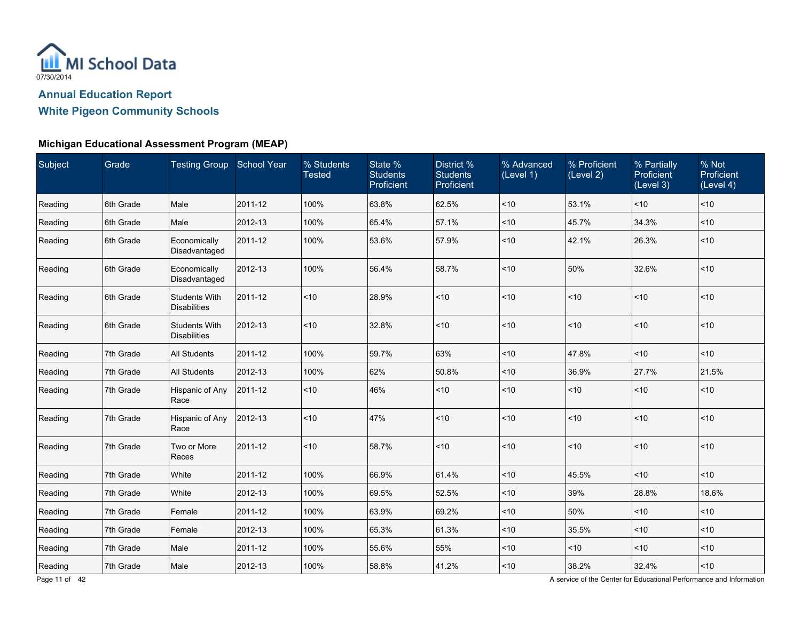

### **Michigan Educational Assessment Program (MEAP)**

| <b>Subject</b> | Grade     | <b>Testing Group School Year</b>            |         | % Students<br><b>Tested</b> | State %<br><b>Students</b><br>Proficient | District %<br><b>Students</b><br>Proficient | % Advanced<br>(Level 1) | % Proficient<br>(Level 2) | % Partially<br><b>Proficient</b><br>(Level 3) | % Not<br>Proficient<br>(Level 4) |
|----------------|-----------|---------------------------------------------|---------|-----------------------------|------------------------------------------|---------------------------------------------|-------------------------|---------------------------|-----------------------------------------------|----------------------------------|
| Reading        | 6th Grade | Male                                        | 2011-12 | 100%                        | 63.8%                                    | 62.5%                                       | $ $ < 10                | 53.1%                     | ~10                                           | ~10                              |
| Reading        | 6th Grade | Male                                        | 2012-13 | 100%                        | 65.4%                                    | 57.1%                                       | $ $ < 10                | 45.7%                     | 34.3%                                         | ~10                              |
| Reading        | 6th Grade | Economically<br>Disadvantaged               | 2011-12 | 100%                        | 53.6%                                    | 57.9%                                       | $ $ < 10                | 42.1%                     | 26.3%                                         | $<$ 10                           |
| Reading        | 6th Grade | Economically<br>Disadvantaged               | 2012-13 | 100%                        | 56.4%                                    | 58.7%                                       | $ $ < 10                | 50%                       | 32.6%                                         | $<$ 10                           |
| Reading        | 6th Grade | <b>Students With</b><br><b>Disabilities</b> | 2011-12 | < 10                        | 28.9%                                    | < 10                                        | $ $ < 10                | < 10                      | < 10                                          | ~10                              |
| Reading        | 6th Grade | <b>Students With</b><br><b>Disabilities</b> | 2012-13 | < 10                        | 32.8%                                    | ~10                                         | $ $ < 10                | < 10                      | < 10                                          | ~10                              |
| Reading        | 7th Grade | <b>All Students</b>                         | 2011-12 | 100%                        | 59.7%                                    | 63%                                         | $ $ < 10                | 47.8%                     | ~10                                           | ~10                              |
| Reading        | 7th Grade | <b>All Students</b>                         | 2012-13 | 100%                        | 62%                                      | 50.8%                                       | $ $ < 10                | 36.9%                     | 27.7%                                         | 21.5%                            |
| Reading        | 7th Grade | Hispanic of Any<br>Race                     | 2011-12 | ~10                         | 46%                                      | ~10                                         | $ $ < 10                | ~10                       | ~10                                           | ~10                              |
| Reading        | 7th Grade | Hispanic of Any<br>Race                     | 2012-13 | ~10                         | 47%                                      | ~10                                         | $ $ < 10                | ~10                       | ~10                                           | < 10                             |
| Reading        | 7th Grade | Two or More<br>Races                        | 2011-12 | < 10                        | 58.7%                                    | ~10                                         | $ $ < 10                | < 10                      | < 10                                          | < 10                             |
| Reading        | 7th Grade | White                                       | 2011-12 | 100%                        | 66.9%                                    | 61.4%                                       | $ $ < 10                | 45.5%                     | ~10                                           | < 10                             |
| Reading        | 7th Grade | White                                       | 2012-13 | 100%                        | 69.5%                                    | 52.5%                                       | $ $ < 10                | 39%                       | 28.8%                                         | 18.6%                            |
| Reading        | 7th Grade | Female                                      | 2011-12 | 100%                        | 63.9%                                    | 69.2%                                       | $ $ < 10                | 50%                       | < 10                                          | ~10                              |
| Reading        | 7th Grade | Female                                      | 2012-13 | 100%                        | 65.3%                                    | 61.3%                                       | $ $ < 10                | 35.5%                     | ~10                                           | ~10                              |
| Reading        | 7th Grade | Male                                        | 2011-12 | 100%                        | 55.6%                                    | 55%                                         | $ $ < 10                | < 10                      | < 10                                          | $<$ 10                           |
| Reading        | 7th Grade | Male                                        | 2012-13 | 100%                        | 58.8%                                    | 41.2%                                       | $ $ < 10                | 38.2%                     | 32.4%                                         | $<10$                            |

Page 11 of 42 **A service of the Center for Educational Performance and Information**<br>A service of the Center for Educational Performance and Information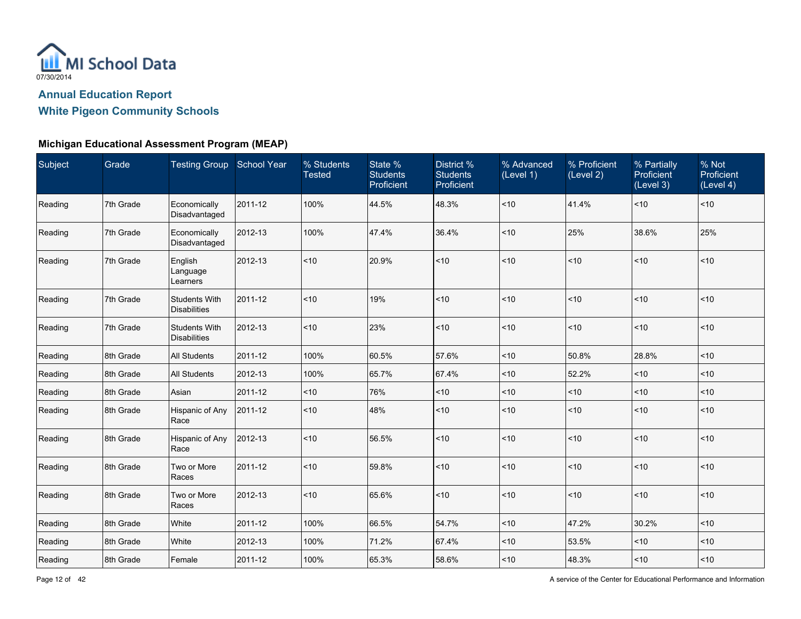

#### **Michigan Educational Assessment Program (MEAP)**

| Subject | Grade     | Testing Group School Year                   |         | % Students<br><b>Tested</b> | State %<br><b>Students</b><br>Proficient | District %<br><b>Students</b><br>Proficient | % Advanced<br>(Level 1) | % Proficient<br>(Level 2) | % Partially<br><b>Proficient</b><br>(Level 3) | % Not<br>Proficient<br>(Level 4) |
|---------|-----------|---------------------------------------------|---------|-----------------------------|------------------------------------------|---------------------------------------------|-------------------------|---------------------------|-----------------------------------------------|----------------------------------|
| Reading | 7th Grade | Economically<br>Disadvantaged               | 2011-12 | 100%                        | 44.5%                                    | 48.3%                                       | ~10                     | 41.4%                     | ~10                                           | < 10                             |
| Reading | 7th Grade | Economically<br>Disadvantaged               | 2012-13 | 100%                        | 47.4%                                    | 36.4%                                       | < 10                    | 25%                       | 38.6%                                         | 25%                              |
| Reading | 7th Grade | English<br>Language<br>Learners             | 2012-13 | ~10                         | 20.9%                                    | ~10                                         | $<10$                   | ~10                       | $<10$                                         | < 10                             |
| Reading | 7th Grade | <b>Students With</b><br><b>Disabilities</b> | 2011-12 | < 10                        | 19%                                      | ~10                                         | ~10                     | < 10                      | ~10                                           | < 10                             |
| Reading | 7th Grade | <b>Students With</b><br><b>Disabilities</b> | 2012-13 | < 10                        | 23%                                      | ~10                                         | < 10                    | < 10                      | ~10                                           | < 10                             |
| Reading | 8th Grade | <b>All Students</b>                         | 2011-12 | 100%                        | 60.5%                                    | 57.6%                                       | < 10                    | 50.8%                     | 28.8%                                         | ~10                              |
| Reading | 8th Grade | All Students                                | 2012-13 | 100%                        | 65.7%                                    | 67.4%                                       | ~10                     | 52.2%                     | ~10                                           | ~10                              |
| Reading | 8th Grade | Asian                                       | 2011-12 | ~10                         | 76%                                      | ~10                                         | < 10                    | $<$ 10                    | < 10                                          | ~10                              |
| Reading | 8th Grade | Hispanic of Any<br>Race                     | 2011-12 | ~10                         | 48%                                      | ~10                                         | < 10                    | ~10                       | ~10                                           | < 10                             |
| Reading | 8th Grade | Hispanic of Any<br>Race                     | 2012-13 | ~10                         | 56.5%                                    | ~10                                         | < 10                    | ~10                       | $<10$                                         | < 10                             |
| Reading | 8th Grade | Two or More<br>Races                        | 2011-12 | ~10                         | 59.8%                                    | ~10                                         | < 10                    | ~10                       | ~10                                           | < 10                             |
| Reading | 8th Grade | Two or More<br>Races                        | 2012-13 | ~10                         | 65.6%                                    | ~10                                         | < 10                    | ~10                       | ~10                                           | < 10                             |
| Reading | 8th Grade | White                                       | 2011-12 | 100%                        | 66.5%                                    | 54.7%                                       | < 10                    | 47.2%                     | 30.2%                                         | $ $ < 10                         |
| Reading | 8th Grade | White                                       | 2012-13 | 100%                        | 71.2%                                    | 67.4%                                       | ~10                     | 53.5%                     | ~10                                           | ~10                              |
| Reading | 8th Grade | Female                                      | 2011-12 | 100%                        | 65.3%                                    | 58.6%                                       | ~10                     | 48.3%                     | $<10$                                         | < 10                             |

Page 12 of 42 **A service of the Center for Educational Performance and Information**<br>A service of the Center for Educational Performance and Information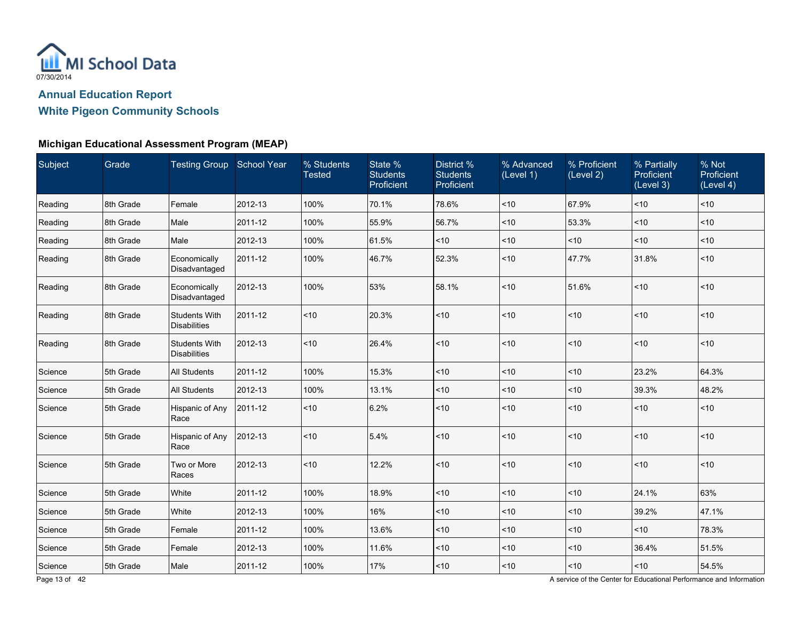

#### **Michigan Educational Assessment Program (MEAP)**

| Subject | Grade     | <b>Testing Group School Year</b>            |         | % Students<br><b>Tested</b> | State %<br><b>Students</b><br>Proficient | District %<br><b>Students</b><br>Proficient | % Advanced<br>(Level 1) | % Proficient<br>(Level 2) | % Partially<br><b>Proficient</b><br>(Level 3) | % Not<br>Proficient<br>(Level 4) |
|---------|-----------|---------------------------------------------|---------|-----------------------------|------------------------------------------|---------------------------------------------|-------------------------|---------------------------|-----------------------------------------------|----------------------------------|
| Reading | 8th Grade | Female                                      | 2012-13 | 100%                        | 70.1%                                    | 78.6%                                       | < 10                    | 67.9%                     | ~10                                           | ~10                              |
| Reading | 8th Grade | Male                                        | 2011-12 | 100%                        | 55.9%                                    | 56.7%                                       | ~10                     | 53.3%                     | ~10                                           | ~10                              |
| Reading | 8th Grade | Male                                        | 2012-13 | 100%                        | 61.5%                                    | ~10                                         | $10$                    | $<$ 10                    | < 10                                          | $<$ 10                           |
| Reading | 8th Grade | Economically<br>Disadvantaged               | 2011-12 | 100%                        | 46.7%                                    | 52.3%                                       | ~10                     | 47.7%                     | 31.8%                                         | $<$ 10                           |
| Reading | 8th Grade | Economically<br>Disadvantaged               | 2012-13 | 100%                        | 53%                                      | 58.1%                                       | $<$ 10                  | 51.6%                     | ~10                                           | ~10                              |
| Reading | 8th Grade | <b>Students With</b><br><b>Disabilities</b> | 2011-12 | < 10                        | 20.3%                                    | ~10                                         | ~10                     | < 10                      | ~10                                           | ~10                              |
| Reading | 8th Grade | <b>Students With</b><br><b>Disabilities</b> | 2012-13 | < 10                        | 26.4%                                    | ~10                                         | ~10                     | < 10                      | < 10                                          | ~10                              |
| Science | 5th Grade | <b>All Students</b>                         | 2011-12 | 100%                        | 15.3%                                    | ~10                                         | ~10                     | ~10                       | 23.2%                                         | 64.3%                            |
| Science | 5th Grade | <b>All Students</b>                         | 2012-13 | 100%                        | 13.1%                                    | $<10$                                       | $<$ 10                  | ~10                       | 39.3%                                         | 48.2%                            |
| Science | 5th Grade | Hispanic of Any<br>Race                     | 2011-12 | ~10                         | 6.2%                                     | $<10$                                       | < 10                    | < 10                      | ~10                                           | ~10                              |
| Science | 5th Grade | Hispanic of Any<br>Race                     | 2012-13 | < 10                        | 5.4%                                     | ~10                                         | ~10                     | < 10                      | ~10                                           | < 10                             |
| Science | 5th Grade | Two or More<br>Races                        | 2012-13 | < 10                        | 12.2%                                    | ~10                                         | ~10                     | < 10                      | ~10                                           | < 10                             |
| Science | 5th Grade | White                                       | 2011-12 | 100%                        | 18.9%                                    | $<10$                                       | ~10                     | < 10                      | 24.1%                                         | 63%                              |
| Science | 5th Grade | White                                       | 2012-13 | 100%                        | 16%                                      | $<10$                                       | ~10                     | ~10                       | 39.2%                                         | 47.1%                            |
| Science | 5th Grade | Female                                      | 2011-12 | 100%                        | 13.6%                                    | $<10$                                       | ~10                     | ~10                       | ~10                                           | 78.3%                            |
| Science | 5th Grade | Female                                      | 2012-13 | 100%                        | 11.6%                                    | ~10                                         | $10$                    | < 10                      | 36.4%                                         | 51.5%                            |
| Science | 5th Grade | Male                                        | 2011-12 | 100%                        | 17%                                      | $<10$                                       | ~10                     | ~10                       | ~10                                           | 54.5%                            |

Page 13 of 42 **A service of the Center for Educational Performance and Information**<br>A service of the Center for Educational Performance and Information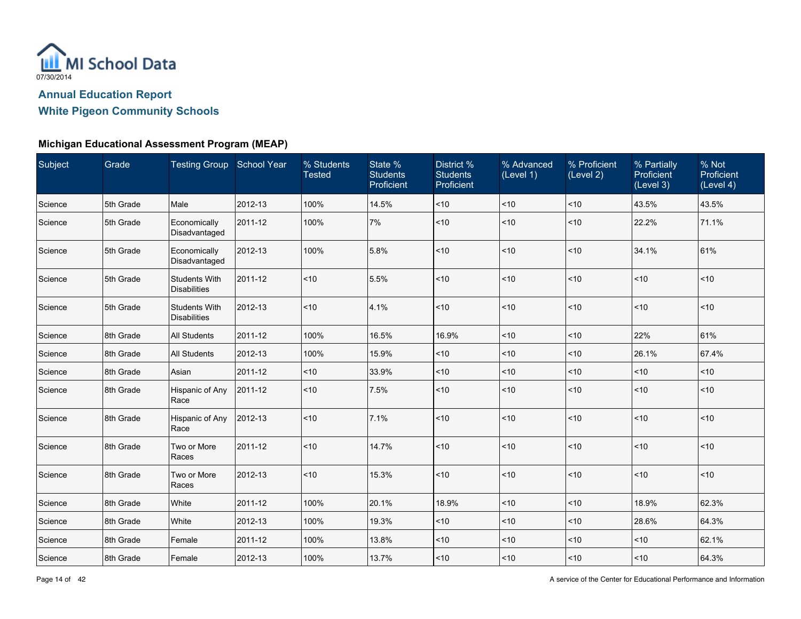

| Subject | Grade     | Testing Group School Year                   |         | % Students<br><b>Tested</b> | State %<br><b>Students</b><br>Proficient | District %<br><b>Students</b><br>Proficient | % Advanced<br>(Level 1) | % Proficient<br>(Level 2) | % Partially<br><b>Proficient</b><br>(Level 3) | % Not<br>Proficient<br>(Level 4) |
|---------|-----------|---------------------------------------------|---------|-----------------------------|------------------------------------------|---------------------------------------------|-------------------------|---------------------------|-----------------------------------------------|----------------------------------|
| Science | 5th Grade | Male                                        | 2012-13 | 100%                        | 14.5%                                    | ~10                                         | ~10                     | ~10                       | 43.5%                                         | 43.5%                            |
| Science | 5th Grade | Economically<br>Disadvantaged               | 2011-12 | 100%                        | 7%                                       | ~10                                         | < 10                    | ~10                       | 22.2%                                         | 71.1%                            |
| Science | 5th Grade | Economically<br>Disadvantaged               | 2012-13 | 100%                        | 5.8%                                     | < 10                                        | <10                     | < 10                      | 34.1%                                         | 61%                              |
| Science | 5th Grade | <b>Students With</b><br><b>Disabilities</b> | 2011-12 | ~10                         | 5.5%                                     | ~10                                         | < 10                    | < 10                      | ~10                                           | ~10                              |
| Science | 5th Grade | <b>Students With</b><br><b>Disabilities</b> | 2012-13 | ~10                         | 4.1%                                     | $<10$                                       | < 10                    | < 10                      | ~10                                           | < 10                             |
| Science | 8th Grade | <b>All Students</b>                         | 2011-12 | 100%                        | 16.5%                                    | 16.9%                                       | <10                     | < 10                      | 22%                                           | 61%                              |
| Science | 8th Grade | <b>All Students</b>                         | 2012-13 | 100%                        | 15.9%                                    | ~10                                         | ~10                     | ~10                       | 26.1%                                         | 67.4%                            |
| Science | 8th Grade | Asian                                       | 2011-12 | $<$ 10                      | 33.9%                                    | $<10$                                       | <10                     | < 10                      | ~10                                           | ~10                              |
| Science | 8th Grade | Hispanic of Any<br>Race                     | 2011-12 | ~10                         | 7.5%                                     | $<10$                                       | < 10                    | ~10                       | ~10                                           | ~10                              |
| Science | 8th Grade | Hispanic of Any<br>Race                     | 2012-13 | ~10                         | 7.1%                                     | $<10$                                       | < 10                    | < 10                      | ~10                                           | < 10                             |
| Science | 8th Grade | Two or More<br>Races                        | 2011-12 | ~10                         | 14.7%                                    | $<10$                                       | ~10                     | ~10                       | ~10                                           | < 10                             |
| Science | 8th Grade | Two or More<br>Races                        | 2012-13 | ~10                         | 15.3%                                    | $<10$                                       | < 10                    | ~10                       | ~10                                           | ~10                              |
| Science | 8th Grade | White                                       | 2011-12 | 100%                        | 20.1%                                    | 18.9%                                       | < 10                    | ~10                       | 18.9%                                         | 62.3%                            |
| Science | 8th Grade | White                                       | 2012-13 | 100%                        | 19.3%                                    | ~10                                         | ~10                     | $<$ 10                    | 28.6%                                         | 64.3%                            |
| Science | 8th Grade | Female                                      | 2011-12 | 100%                        | 13.8%                                    | $10$                                        | ~10                     | ~10                       | ~10                                           | 62.1%                            |
| Science | 8th Grade | Female                                      | 2012-13 | 100%                        | 13.7%                                    | ~10                                         | ~10                     | $<$ 10                    | ~10                                           | 64.3%                            |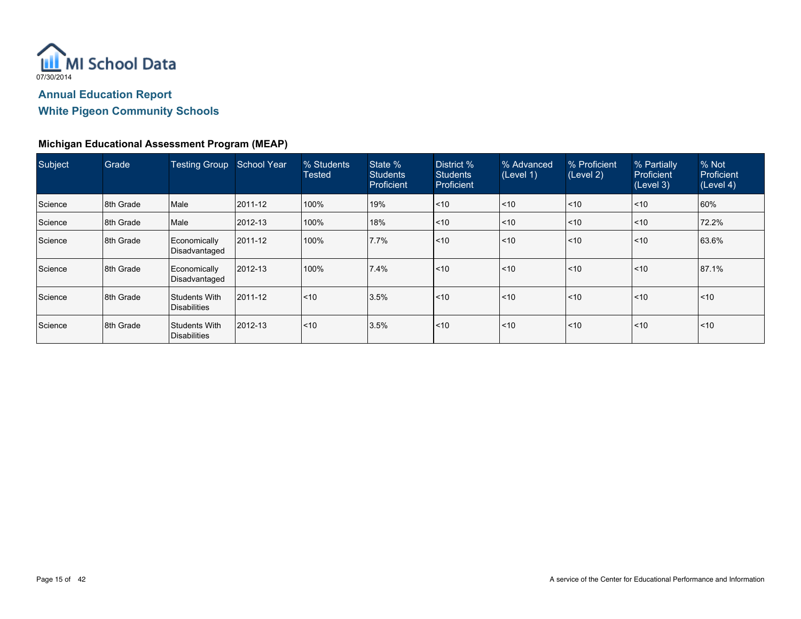

| Subject | Grade     | Testing Group School Year                   |         | % Students<br><b>Tested</b> | State %<br><b>Students</b><br>Proficient | District %<br><b>Students</b><br>Proficient | % Advanced<br>(Level 1) | % Proficient<br>(Level 2) | % Partially<br><b>Proficient</b><br>(Level 3) | % Not<br><b>Proficient</b><br>(Level 4) |
|---------|-----------|---------------------------------------------|---------|-----------------------------|------------------------------------------|---------------------------------------------|-------------------------|---------------------------|-----------------------------------------------|-----------------------------------------|
| Science | 8th Grade | Male                                        | 2011-12 | 100%                        | 19%                                      | $\leq 10$                                   | $\leq 10$               | $\leq 10$                 | $ $ < 10                                      | 60%                                     |
| Science | 8th Grade | Male                                        | 2012-13 | 100%                        | 18%                                      | $\mathsf{I}$ < 10                           | $\leq 10$               | $\mathsf{I}$ <10          | $ $ < 10                                      | 72.2%                                   |
| Science | 8th Grade | Economically<br>Disadvantaged               | 2011-12 | 100%                        | 7.7%                                     | $\mathsf{I}$ < 10                           | $\leq 10$               | $\mathsf{I}$ <10          | $ $ < 10                                      | 63.6%                                   |
| Science | 8th Grade | Economically<br>Disadvantaged               | 2012-13 | 100%                        | 7.4%                                     | $\mathsf{I}$ < 10                           | $ $ < 10                | $\mathsf{I}$ <10          | $ $ < 10                                      | 87.1%                                   |
| Science | 8th Grade | Students With<br><b>Disabilities</b>        | 2011-12 | $\leq 10$                   | 3.5%                                     | $\mathsf{I}$ < 10                           | $\leq 10$               | $\mathsf{I}$ <10          | $ $ < 10                                      | $\leq 10$                               |
| Science | 8th Grade | <b>Students With</b><br><b>Disabilities</b> | 2012-13 | < 10                        | 3.5%                                     | $\mathsf{I}$ < 10                           | $\leq 10$               | $\mathsf{I}$ <10          | $ $ < 10                                      | $\overline{\phantom{1}}$ <10            |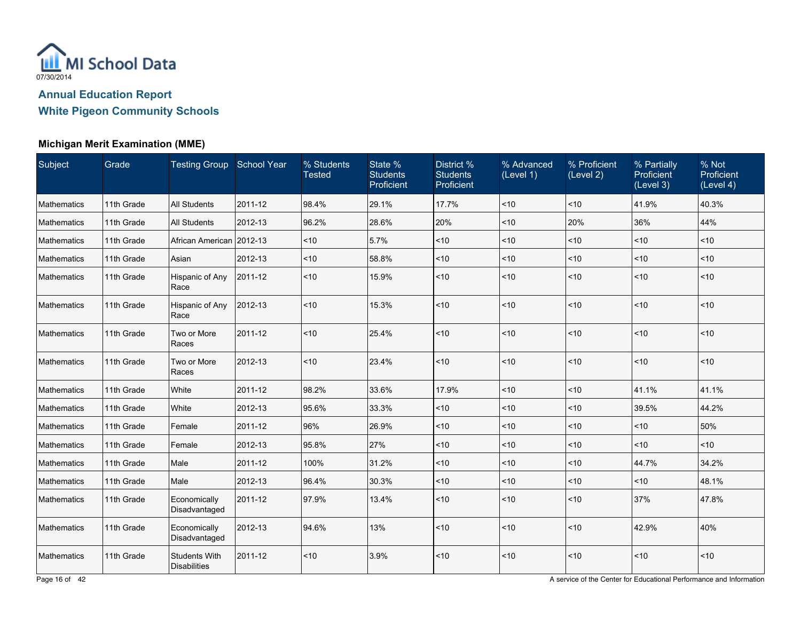

### **Michigan Merit Examination (MME)**

| Subject            | Grade      | Testing Group School Year                   |         | % Students<br><b>Tested</b> | State %<br><b>Students</b><br>Proficient | District %<br><b>Students</b><br>Proficient | % Advanced<br>(Level 1) | % Proficient<br>(Level 2) | % Partially<br><b>Proficient</b><br>(Level 3) | % Not<br>Proficient<br>(Level 4) |
|--------------------|------------|---------------------------------------------|---------|-----------------------------|------------------------------------------|---------------------------------------------|-------------------------|---------------------------|-----------------------------------------------|----------------------------------|
| Mathematics        | 11th Grade | <b>All Students</b>                         | 2011-12 | 98.4%                       | 29.1%                                    | 17.7%                                       | ~10                     | ~10                       | 41.9%                                         | 40.3%                            |
| Mathematics        | 11th Grade | <b>All Students</b>                         | 2012-13 | 96.2%                       | 28.6%                                    | 20%                                         | ~10                     | 20%                       | 36%                                           | 44%                              |
| Mathematics        | 11th Grade | African American 2012-13                    |         | ~10                         | 5.7%                                     | $<10$                                       | < 10                    | $<$ 10                    | < 10                                          | $<$ 10                           |
| Mathematics        | 11th Grade | Asian                                       | 2012-13 | < 10                        | 58.8%                                    | $<10$                                       | < 10                    | $<$ 10                    | < 10                                          | ~10                              |
| Mathematics        | 11th Grade | Hispanic of Any<br>Race                     | 2011-12 | < 10                        | 15.9%                                    | ~10                                         | ~10                     | < 10                      | < 10                                          | < 10                             |
| Mathematics        | 11th Grade | Hispanic of Any<br>Race                     | 2012-13 | < 10                        | 15.3%                                    | ~10                                         | ~10                     | < 10                      | ~10                                           | < 10                             |
| Mathematics        | 11th Grade | Two or More<br>Races                        | 2011-12 | ~10                         | 25.4%                                    | ~10                                         | < 10                    | < 10                      | ~10                                           | < 10                             |
| Mathematics        | 11th Grade | Two or More<br>Races                        | 2012-13 | ~10                         | 23.4%                                    | ~10                                         | < 10                    | ~10                       | ~10                                           | ~10                              |
| Mathematics        | 11th Grade | White                                       | 2011-12 | 98.2%                       | 33.6%                                    | 17.9%                                       | ~10                     | < 10                      | 41.1%                                         | 41.1%                            |
| Mathematics        | 11th Grade | White                                       | 2012-13 | 95.6%                       | 33.3%                                    | ~10                                         | ~10                     | ~10                       | 39.5%                                         | 44.2%                            |
| Mathematics        | 11th Grade | Female                                      | 2011-12 | 96%                         | 26.9%                                    | $<10$                                       | ~10                     | $<$ 10                    | ~10                                           | 50%                              |
| Mathematics        | 11th Grade | Female                                      | 2012-13 | 95.8%                       | 27%                                      | $<10$                                       | < 10                    | $<$ 10                    | ~10                                           | $<$ 10                           |
| Mathematics        | 11th Grade | Male                                        | 2011-12 | 100%                        | 31.2%                                    | ~10                                         | ~10                     | ~10                       | 44.7%                                         | 34.2%                            |
| Mathematics        | 11th Grade | Male                                        | 2012-13 | 96.4%                       | 30.3%                                    | $<10$                                       | < 10                    | $<$ 10                    | < 10                                          | 48.1%                            |
| Mathematics        | 11th Grade | Economically<br>Disadvantaged               | 2011-12 | 97.9%                       | 13.4%                                    | ~10                                         | $<$ 10                  | ~10                       | 37%                                           | 47.8%                            |
| <b>Mathematics</b> | 11th Grade | Economically<br>Disadvantaged               | 2012-13 | 94.6%                       | 13%                                      | ~10                                         | < 10                    | < 10                      | 42.9%                                         | 40%                              |
| Mathematics        | 11th Grade | <b>Students With</b><br><b>Disabilities</b> | 2011-12 | ~10                         | 3.9%                                     | ~10                                         | < 10                    | < 10                      | ~10                                           | ~10                              |

Page 16 of 42 **A service of the Center for Educational Performance and Information**<br>A service of the Center for Educational Performance and Information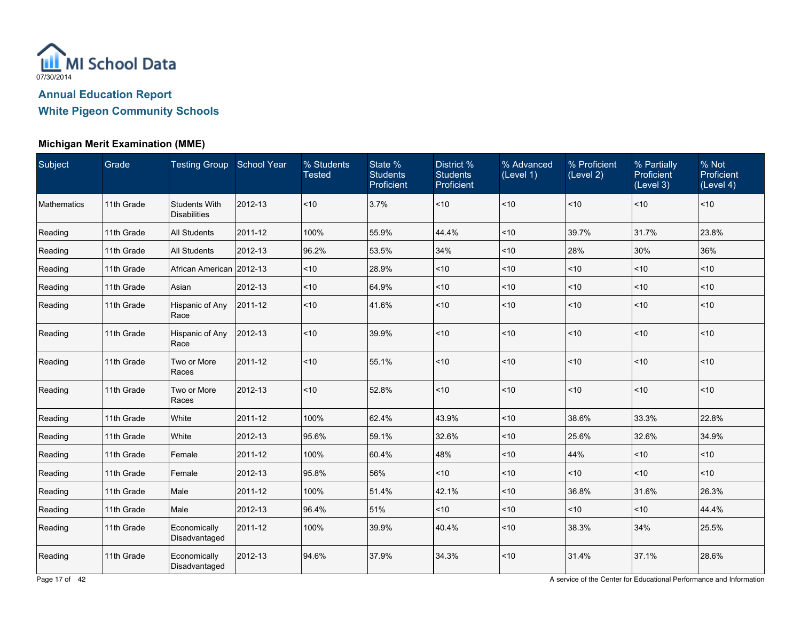

### **Michigan Merit Examination (MME)**

| Subject     | Grade      | Testing Group School Year                   |         | % Students<br><b>Tested</b> | State %<br><b>Students</b><br>Proficient | District %<br><b>Students</b><br>Proficient | % Advanced<br>(Level 1) | % Proficient<br>(Level 2) | % Partially<br>Proficient<br>(Level 3) | % Not<br>Proficient<br>(Level 4) |
|-------------|------------|---------------------------------------------|---------|-----------------------------|------------------------------------------|---------------------------------------------|-------------------------|---------------------------|----------------------------------------|----------------------------------|
| Mathematics | 11th Grade | <b>Students With</b><br><b>Disabilities</b> | 2012-13 | ~10                         | 3.7%                                     | ~10                                         | < 10                    | < 10                      | ~10                                    | $ $ < 10                         |
| Reading     | 11th Grade | All Students                                | 2011-12 | 100%                        | 55.9%                                    | 44.4%                                       | <10                     | 39.7%                     | 31.7%                                  | 23.8%                            |
| Reading     | 11th Grade | <b>All Students</b>                         | 2012-13 | 96.2%                       | 53.5%                                    | 34%                                         | < 10                    | 28%                       | 30%                                    | 36%                              |
| Reading     | 11th Grade | African American 2012-13                    |         | < 10                        | 28.9%                                    | ~10                                         | ~10                     | ~10                       | < 10                                   | < 10                             |
| Reading     | 11th Grade | Asian                                       | 2012-13 | ~10                         | 64.9%                                    | $<10$                                       | ~10                     | $<$ 10                    | ~10                                    | ~10                              |
| Reading     | 11th Grade | Hispanic of Any<br>Race                     | 2011-12 | $<10$                       | 41.6%                                    | ~10                                         | ~10                     | ~10                       | ~10                                    | ~10                              |
| Reading     | 11th Grade | Hispanic of Any<br>Race                     | 2012-13 | ~10                         | 39.9%                                    | $<10$                                       | <10                     | < 10                      | ~10                                    | ~10                              |
| Reading     | 11th Grade | Two or More<br>Races                        | 2011-12 | ~10                         | 55.1%                                    | ~10                                         | < 10                    | < 10                      | ~10                                    | ~10                              |
| Reading     | 11th Grade | Two or More<br>Races                        | 2012-13 | ~10                         | 52.8%                                    | ~10                                         | <10                     | ~10                       | ~10                                    | ~10                              |
| Reading     | 11th Grade | White                                       | 2011-12 | 100%                        | 62.4%                                    | 43.9%                                       | < 10                    | 38.6%                     | 33.3%                                  | 22.8%                            |
| Reading     | 11th Grade | White                                       | 2012-13 | 95.6%                       | 59.1%                                    | 32.6%                                       | <10                     | 25.6%                     | 32.6%                                  | 34.9%                            |
| Reading     | 11th Grade | Female                                      | 2011-12 | 100%                        | 60.4%                                    | 48%                                         | <10                     | 44%                       | ~10                                    | ~10                              |
| Reading     | 11th Grade | Female                                      | 2012-13 | 95.8%                       | 56%                                      | < 10                                        | <10                     | < 10                      | ~10                                    | ~10                              |
| Reading     | 11th Grade | Male                                        | 2011-12 | 100%                        | 51.4%                                    | 42.1%                                       | ~10                     | 36.8%                     | 31.6%                                  | 26.3%                            |
| Reading     | 11th Grade | Male                                        | 2012-13 | 96.4%                       | 51%                                      | ~10                                         | ~10                     | ~10                       | ~10                                    | 44.4%                            |
| Reading     | 11th Grade | Economically<br>Disadvantaged               | 2011-12 | 100%                        | 39.9%                                    | 40.4%                                       | ~10                     | 38.3%                     | 34%                                    | 25.5%                            |
| Reading     | 11th Grade | Economically<br>Disadvantaged               | 2012-13 | 94.6%                       | 37.9%                                    | 34.3%                                       | ~10                     | 31.4%                     | 37.1%                                  | 28.6%                            |

Page 17 of 42 A service of the Center for Educational Performance and Information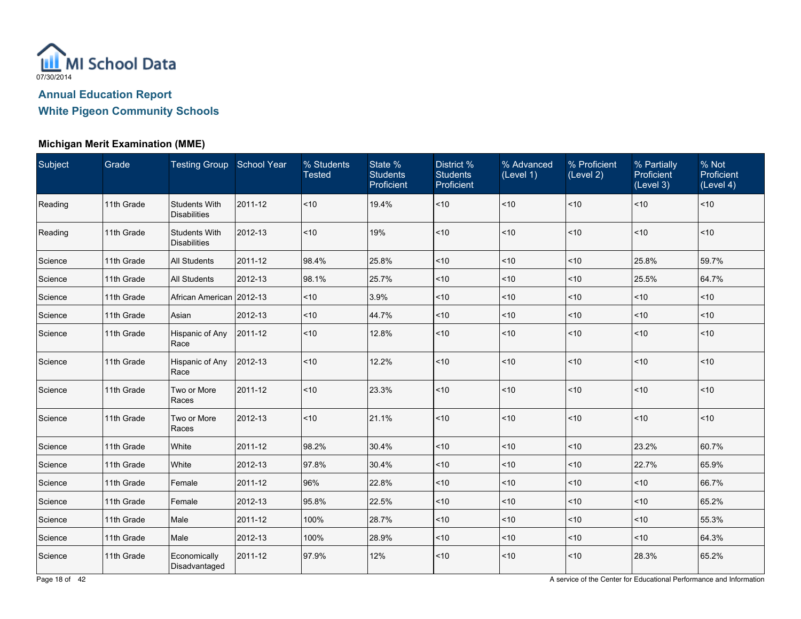

#### **Michigan Merit Examination (MME)**

| Subject | Grade      | <b>Testing Group</b> School Year            |         | % Students<br><b>Tested</b> | State %<br><b>Students</b><br>Proficient | District <sup>%</sup><br><b>Students</b><br>Proficient | % Advanced<br>(Level 1) | % Proficient<br>(Level 2) | % Partially<br>Proficient<br>(Level 3) | % Not<br>Proficient<br>(Level 4) |
|---------|------------|---------------------------------------------|---------|-----------------------------|------------------------------------------|--------------------------------------------------------|-------------------------|---------------------------|----------------------------------------|----------------------------------|
| Reading | 11th Grade | <b>Students With</b><br><b>Disabilities</b> | 2011-12 | < 10                        | 19.4%                                    | ~10                                                    | $ $ < 10                | < 10                      | ~10                                    | $ $ < 10                         |
| Reading | 11th Grade | <b>Students With</b><br><b>Disabilities</b> | 2012-13 | < 10                        | 19%                                      | ~10                                                    | $ $ < 10                | < 10                      | ~10                                    | < 10                             |
| Science | 11th Grade | <b>All Students</b>                         | 2011-12 | 98.4%                       | 25.8%                                    | ~10                                                    | $ $ < 10                | < 10                      | 25.8%                                  | 59.7%                            |
| Science | 11th Grade | <b>All Students</b>                         | 2012-13 | 98.1%                       | 25.7%                                    | ~10                                                    | $ $ < 10                | < 10                      | 25.5%                                  | 64.7%                            |
| Science | 11th Grade | African American 2012-13                    |         | < 10                        | 3.9%                                     | ~10                                                    | $10$                    | $<$ 10                    | ~10                                    | < 10                             |
| Science | 11th Grade | Asian                                       | 2012-13 | ~10                         | 44.7%                                    | $<10$                                                  | $ $ < 10                | < 10                      | ~10                                    | $ $ < 10                         |
| Science | 11th Grade | Hispanic of Any<br>Race                     | 2011-12 | < 10                        | 12.8%                                    | $<10$                                                  | $ $ < 10                | < 10                      | ~10                                    | < 10                             |
| Science | 11th Grade | Hispanic of Any<br>Race                     | 2012-13 | < 10                        | 12.2%                                    | ~10                                                    | $ $ < 10                | < 10                      | ~10                                    | $ $ < 10                         |
| Science | 11th Grade | Two or More<br>Races                        | 2011-12 | < 10                        | 23.3%                                    | ~10                                                    | $ $ < 10                | < 10                      | ~10                                    | $ $ < 10                         |
| Science | 11th Grade | Two or More<br>Races                        | 2012-13 | ~10                         | 21.1%                                    | ~10                                                    | $ $ < 10                | ~10                       | ~10                                    | $ $ < 10                         |
| Science | 11th Grade | White                                       | 2011-12 | 98.2%                       | 30.4%                                    | ~10                                                    | $ $ < 10                | < 10                      | 23.2%                                  | 60.7%                            |
| Science | 11th Grade | White                                       | 2012-13 | 97.8%                       | 30.4%                                    | ~10                                                    | ~10                     | ~10                       | 22.7%                                  | 65.9%                            |
| Science | 11th Grade | Female                                      | 2011-12 | 96%                         | 22.8%                                    | ~10                                                    | $ $ < 10                | ~10                       | ~10                                    | 66.7%                            |
| Science | 11th Grade | Female                                      | 2012-13 | 95.8%                       | 22.5%                                    | ~10                                                    | $ $ < 10                | < 10                      | ~10                                    | 65.2%                            |
| Science | 11th Grade | Male                                        | 2011-12 | 100%                        | 28.7%                                    | ~10                                                    | $<$ 10                  | $<$ 10                    | ~10                                    | 55.3%                            |
| Science | 11th Grade | Male                                        | 2012-13 | 100%                        | 28.9%                                    | $<10$                                                  | $ $ < 10                | ~10                       | ~10                                    | 64.3%                            |
| Science | 11th Grade | Economically<br>Disadvantaged               | 2011-12 | 97.9%                       | 12%                                      | ~10                                                    | $ $ < 10                | ~10                       | 28.3%                                  | 65.2%                            |

Page 18 of 42 A service of the Center for Educational Performance and Information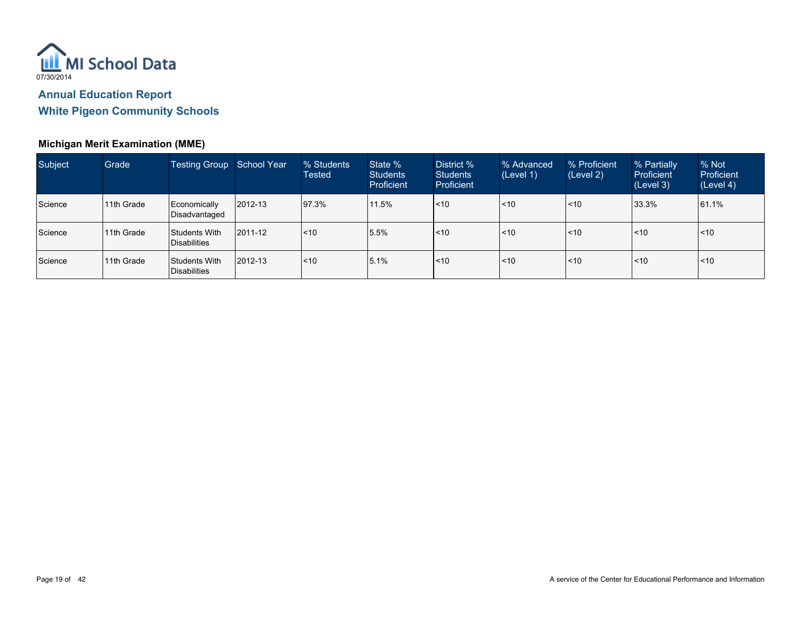

### **Michigan Merit Examination (MME)**

| Subject | Grade       | <b>Testing Group</b>            | School Year   | % Students<br>Tested | State %<br><b>Students</b><br><b>Proficient</b> | District %<br><b>Students</b><br>Proficient | % Advanced<br>(Level 1)      | % Proficient<br>(Level 2) | % Partially<br><b>Proficient</b><br>(Level 3) | % Not<br>Proficient<br>(Level 4) |
|---------|-------------|---------------------------------|---------------|----------------------|-------------------------------------------------|---------------------------------------------|------------------------------|---------------------------|-----------------------------------------------|----------------------------------|
| Science | 11th Grade  | Economically<br>Disadvantaged   | $ 2012 - 13 $ | 97.3%                | 11.5%                                           | l<10                                        | $\overline{\phantom{1}}$ <10 | < 10                      | 33.3%                                         | 161.1%                           |
| Science | 111th Grade | Students With<br>Disabilities   | 2011-12       | <10                  | 15.5%                                           | l<10                                        | $\leq 10$                    | l<10                      | $\leq 10$                                     | $ $ < 10                         |
| Science | 111th Grade | Students With<br>l Disabilities | $ 2012 - 13$  | l<10                 | 15.1%                                           | l<10                                        | $\overline{\phantom{1}}$ <10 | l<10                      | $\leq 10$                                     | $ $ < 10                         |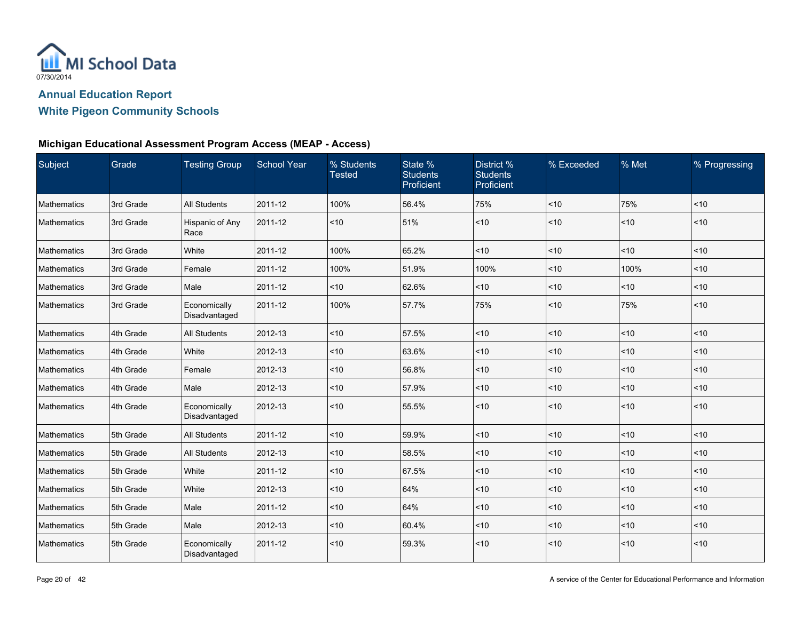

### **Michigan Educational Assessment Program Access (MEAP - Access)**

| Subject     | Grade     | <b>Testing Group</b>          | <b>School Year</b> | % Students<br><b>Tested</b> | State %<br><b>Students</b><br>Proficient | District %<br><b>Students</b><br>Proficient | % Exceeded | % Met | % Progressing |
|-------------|-----------|-------------------------------|--------------------|-----------------------------|------------------------------------------|---------------------------------------------|------------|-------|---------------|
| Mathematics | 3rd Grade | <b>All Students</b>           | 2011-12            | 100%                        | 56.4%                                    | 75%                                         | < 10       | 75%   | < 10          |
| Mathematics | 3rd Grade | Hispanic of Any<br>Race       | 2011-12            | $<10$                       | 51%                                      | $<10$                                       | < 10       | ~10   | < 10          |
| Mathematics | 3rd Grade | White                         | 2011-12            | 100%                        | 65.2%                                    | ~10                                         | ~10        | ~10   | < 10          |
| Mathematics | 3rd Grade | Female                        | 2011-12            | 100%                        | 51.9%                                    | 100%                                        | < 10       | 100%  | ~10           |
| Mathematics | 3rd Grade | Male                          | 2011-12            | < 10                        | 62.6%                                    | ~10                                         | < 10       | ~10   | ~10           |
| Mathematics | 3rd Grade | Economically<br>Disadvantaged | 2011-12            | 100%                        | 57.7%                                    | 75%                                         | < 10       | 75%   | ~10           |
| Mathematics | 4th Grade | All Students                  | 2012-13            | 10                          | 57.5%                                    | ~10                                         | ~10        | 10    | ~10           |
| Mathematics | 4th Grade | White                         | 2012-13            | ~10                         | 63.6%                                    | ~10                                         | < 10       | ~10   | ~10           |
| Mathematics | 4th Grade | Female                        | 2012-13            | ~10                         | 56.8%                                    | $<10$                                       | ~10        | $<10$ | < 10          |
| Mathematics | 4th Grade | Male                          | 2012-13            | ~10                         | 57.9%                                    | $<10$                                       | ~10        | ~10   | ~10           |
| Mathematics | 4th Grade | Economically<br>Disadvantaged | 2012-13            | ~10                         | 55.5%                                    | $<10$                                       | < 10       | ~10   | < 10          |
| Mathematics | 5th Grade | <b>All Students</b>           | 2011-12            | ~10                         | 59.9%                                    | ~10                                         | ~10        | $<10$ | ~10           |
| Mathematics | 5th Grade | <b>All Students</b>           | 2012-13            | $<10$                       | 58.5%                                    | $<10$                                       | ~10        | 10    | ~10           |
| Mathematics | 5th Grade | White                         | 2011-12            | ~10                         | 67.5%                                    | $<10$                                       | < 10       | ~10   | ~10           |
| Mathematics | 5th Grade | White                         | 2012-13            | ~10                         | 64%                                      | ~10                                         | ~10        | ~10   | ~10           |
| Mathematics | 5th Grade | Male                          | 2011-12            | ~10                         | 64%                                      | $<10$                                       | ~10        | ~10   | ~10           |
| Mathematics | 5th Grade | Male                          | 2012-13            | ~10                         | 60.4%                                    | ~10                                         | < 10       | < 10  | ~10           |
| Mathematics | 5th Grade | Economically<br>Disadvantaged | 2011-12            | ~10                         | 59.3%                                    | $<10$                                       | ~10        | ~10   | ~10           |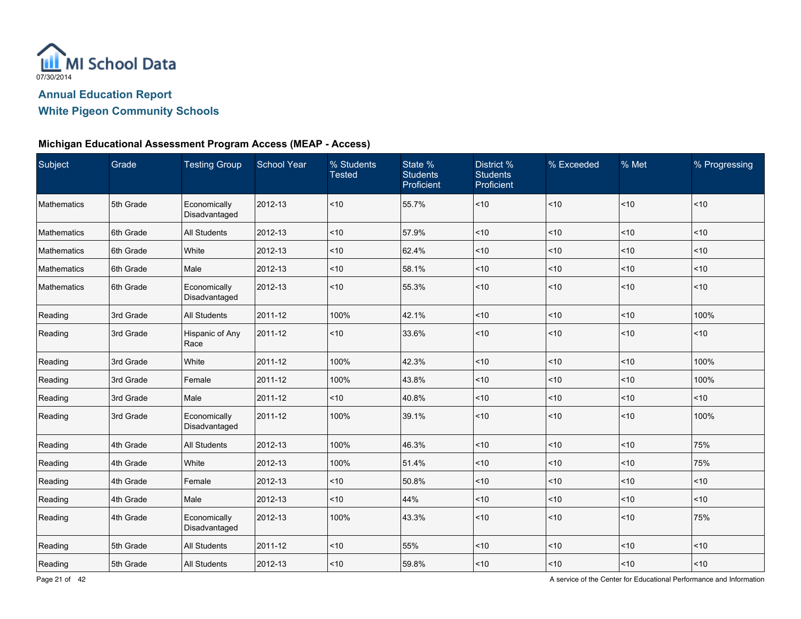

### **Michigan Educational Assessment Program Access (MEAP - Access)**

| Subject     | Grade     | <b>Testing Group</b>          | <b>School Year</b> | % Students<br><b>Tested</b> | State %<br><b>Students</b><br>Proficient | District %<br><b>Students</b><br>Proficient | % Exceeded | % Met    | % Progressing |
|-------------|-----------|-------------------------------|--------------------|-----------------------------|------------------------------------------|---------------------------------------------|------------|----------|---------------|
| Mathematics | 5th Grade | Economically<br>Disadvantaged | 2012-13            | ~10                         | 55.7%                                    | ~10                                         | < 10       | ~10      | ~10           |
| Mathematics | 6th Grade | All Students                  | 2012-13            | ~10                         | 57.9%                                    | $<10$                                       | ~10        | ~10      | 10            |
| Mathematics | 6th Grade | White                         | 2012-13            | ~10                         | 62.4%                                    | ~10                                         | < 10       | ~10      | < 10          |
| Mathematics | 6th Grade | Male                          | 2012-13            | < 10                        | 58.1%                                    | ~10                                         | < 10       | ~10      | ~10           |
| Mathematics | 6th Grade | Economically<br>Disadvantaged | 2012-13            | $<10$                       | 55.3%                                    | $<10$                                       | < 10       | $<10$    | ~10           |
| Reading     | 3rd Grade | All Students                  | 2011-12            | 100%                        | 42.1%                                    | ~10                                         | < 10       | < 10     | 100%          |
| Reading     | 3rd Grade | Hispanic of Any<br>Race       | 2011-12            | < 10                        | 33.6%                                    | $<10$                                       | < 10       | ~10      | ~10           |
| Reading     | 3rd Grade | White                         | 2011-12            | 100%                        | 42.3%                                    | $<10$                                       | ~10        | $<10$    | 100%          |
| Reading     | 3rd Grade | Female                        | 2011-12            | 100%                        | 43.8%                                    | ~10                                         | < 10       | ~10      | 100%          |
| Reading     | 3rd Grade | Male                          | 2011-12            | < 10                        | 40.8%                                    | $<10$                                       | < 10       | ~10      | ~10           |
| Reading     | 3rd Grade | Economically<br>Disadvantaged | 2011-12            | 100%                        | 39.1%                                    | ~10                                         | ~10        | $<10$    | 100%          |
| Reading     | 4th Grade | <b>All Students</b>           | 2012-13            | 100%                        | 46.3%                                    | ~10                                         | ~10        | ~10      | 75%           |
| Reading     | 4th Grade | White                         | 2012-13            | 100%                        | 51.4%                                    | ~10                                         | < 10       | < 10     | 75%           |
| Reading     | 4th Grade | Female                        | 2012-13            | < 10                        | 50.8%                                    | $<10$                                       | < 10       | < 10     | ~10           |
| Reading     | 4th Grade | Male                          | 2012-13            | ~10                         | 44%                                      | $<10$                                       | ~10        | $<10$    | ~10           |
| Reading     | 4th Grade | Economically<br>Disadvantaged | 2012-13            | 100%                        | 43.3%                                    | ~10                                         | ~10        | $<10$    | 75%           |
| Reading     | 5th Grade | All Students                  | 2011-12            | ~10                         | 55%                                      | $ $ < 10                                    | < 10       | $ $ < 10 | $<10$         |
| Reading     | 5th Grade | All Students                  | 2012-13            | ~10                         | 59.8%                                    | $<10$                                       | ~10        | $<10$    | $<10$         |

Page 21 of 42 **A service of the Center for Educational Performance and Information**<br>A service of the Center for Educational Performance and Information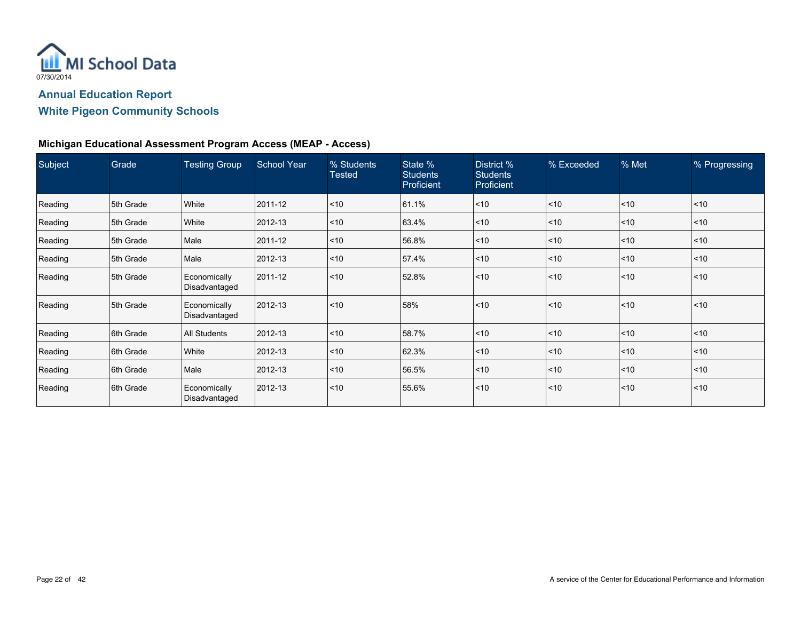

### **Michigan Educational Assessment Program Access (MEAP - Access)**

| Subject | Grade     | <b>Testing Group</b>          | <b>School Year</b> | % Students<br><b>Tested</b> | State %<br><b>Students</b><br><b>Proficient</b> | District %<br><b>Students</b><br>Proficient | % Exceeded | % Met | % Progressing |
|---------|-----------|-------------------------------|--------------------|-----------------------------|-------------------------------------------------|---------------------------------------------|------------|-------|---------------|
| Reading | 5th Grade | White                         | 2011-12            | $ $ < 10                    | 61.1%                                           | $ $ < 10                                    | < 10       | < 10  | $ $ < 10      |
| Reading | 5th Grade | White                         | 2012-13            | < 10                        | 63.4%                                           | $<$ 10                                      | ~10        | ~10   | < 10          |
| Reading | 5th Grade | Male                          | 2011-12            | $ $ < 10                    | 56.8%                                           | $<$ 10                                      | $<$ 10     | ~10   | $ $ < 10      |
| Reading | 5th Grade | Male                          | 2012-13            | $ $ < 10                    | 57.4%                                           | $<$ 10                                      | < 10       | ~10   | < 10          |
| Reading | 5th Grade | Economically<br>Disadvantaged | 2011-12            | < 10                        | 52.8%                                           | $ $ < 10                                    | $10$       | < 10  | < 10          |
| Reading | 5th Grade | Economically<br>Disadvantaged | 2012-13            | $ $ < 10                    | 58%                                             | $\leq 10$                                   | $\leq 10$  | < 10  | < 10          |
| Reading | 6th Grade | <b>All Students</b>           | 2012-13            | $<$ 10                      | 58.7%                                           | $<$ 10                                      | < 10       | ~10   | < 10          |
| Reading | 6th Grade | White                         | 2012-13            | $<$ 10                      | 62.3%                                           | $ $ < 10                                    | $<$ 10     | < 10  | $ $ < 10      |
| Reading | 6th Grade | Male                          | 2012-13            | $ $ < 10                    | 56.5%                                           | $ $ < 10                                    | < 10       | ~10   | ~10           |
| Reading | 6th Grade | Economically<br>Disadvantaged | 2012-13            | $<$ 10                      | 55.6%                                           | $ $ < 10                                    | $<$ 10     | ~10   | < 10          |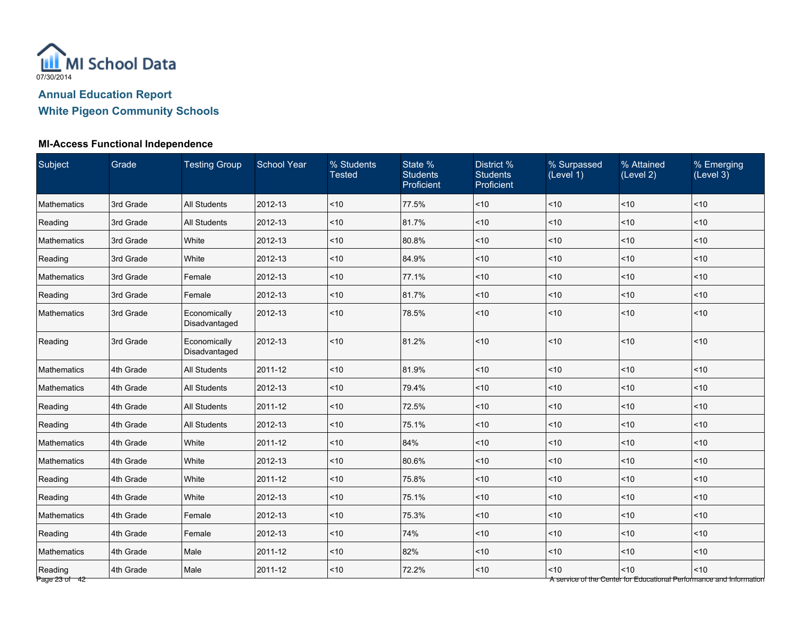

| Subject                  | Grade     | <b>Testing Group</b>          | <b>School Year</b> | % Students<br><b>Tested</b> | State %<br><b>Students</b><br>Proficient | District %<br><b>Students</b><br>Proficient | % Surpassed<br>(Level 1) | % Attained<br>(Level 2) | % Emerging<br>(Level 3)                                                     |
|--------------------------|-----------|-------------------------------|--------------------|-----------------------------|------------------------------------------|---------------------------------------------|--------------------------|-------------------------|-----------------------------------------------------------------------------|
| Mathematics              | 3rd Grade | All Students                  | 2012-13            | ~10                         | 77.5%                                    | ~10                                         | < 10                     | ~10                     | ~10                                                                         |
| Reading                  | 3rd Grade | All Students                  | 2012-13            | ~10                         | 81.7%                                    | ~10                                         | < 10                     | ~10                     | ~10                                                                         |
| <b>Mathematics</b>       | 3rd Grade | White                         | 2012-13            | ~10                         | 80.8%                                    | < 10                                        | < 10                     | ~10                     | ~10                                                                         |
| Reading                  | 3rd Grade | White                         | 2012-13            | ~10                         | 84.9%                                    | < 10                                        | $<$ 10                   | ~10                     | ~10                                                                         |
| Mathematics              | 3rd Grade | Female                        | 2012-13            | ~10                         | 77.1%                                    | < 10                                        | < 10                     | ~10                     | ~10                                                                         |
| Reading                  | 3rd Grade | Female                        | 2012-13            | ~10                         | 81.7%                                    | < 10                                        | $<$ 10                   | < 10                    | < 10                                                                        |
| Mathematics              | 3rd Grade | Economically<br>Disadvantaged | 2012-13            | $<10$                       | 78.5%                                    | < 10                                        | ~10                      | ~10                     | ~10                                                                         |
| Reading                  | 3rd Grade | Economically<br>Disadvantaged | 2012-13            | ~10                         | 81.2%                                    | < 10                                        | < 10                     | ~10                     | < 10                                                                        |
| Mathematics              | 4th Grade | All Students                  | 2011-12            | ~10                         | 81.9%                                    | ~10                                         | ~10                      | ~10                     | ~10                                                                         |
| Mathematics              | 4th Grade | <b>All Students</b>           | 2012-13            | ~10                         | 79.4%                                    | < 10                                        | ~10                      | ~10                     | ~10                                                                         |
| Reading                  | 4th Grade | <b>All Students</b>           | 2011-12            | ~10                         | 72.5%                                    | ~10                                         | < 10                     | ~10                     | ~10                                                                         |
| Reading                  | 4th Grade | <b>All Students</b>           | 2012-13            | $<10$                       | 75.1%                                    | ~10                                         | ~10                      | ~10                     | ~10                                                                         |
| <b>Mathematics</b>       | 4th Grade | White                         | 2011-12            | < 10                        | 84%                                      | < 10                                        | ~10                      | < 10                    | ~10                                                                         |
| Mathematics              | 4th Grade | White                         | 2012-13            | < 10                        | 80.6%                                    | ~10                                         | $<$ 10                   | < 10                    | ~10                                                                         |
| Reading                  | 4th Grade | White                         | 2011-12            | ~10                         | 75.8%                                    | < 10                                        | $<$ 10                   | ~10                     | ~10                                                                         |
| Reading                  | 4th Grade | White                         | 2012-13            | $<10$                       | 75.1%                                    | ~10                                         | ~10                      | ~10                     | ~10                                                                         |
| Mathematics              | 4th Grade | Female                        | 2012-13            | ~10                         | 75.3%                                    | $<10$                                       | ~10                      | ~10                     | ~10                                                                         |
| Reading                  | 4th Grade | Female                        | 2012-13            | ~10                         | 74%                                      | ~10                                         | < 10                     | ~10                     | ~10                                                                         |
| Mathematics              | 4th Grade | Male                          | 2011-12            | ~10                         | 82%                                      | < 10                                        | ~10                      | ~10                     | ~10                                                                         |
| Reading<br>Page 23 of 42 | 4th Grade | Male                          | 2011-12            | ~10                         | 72.2%                                    | $<10$                                       | < 10                     | ~10                     | < 10<br>A service of the Center for Educational Performance and Information |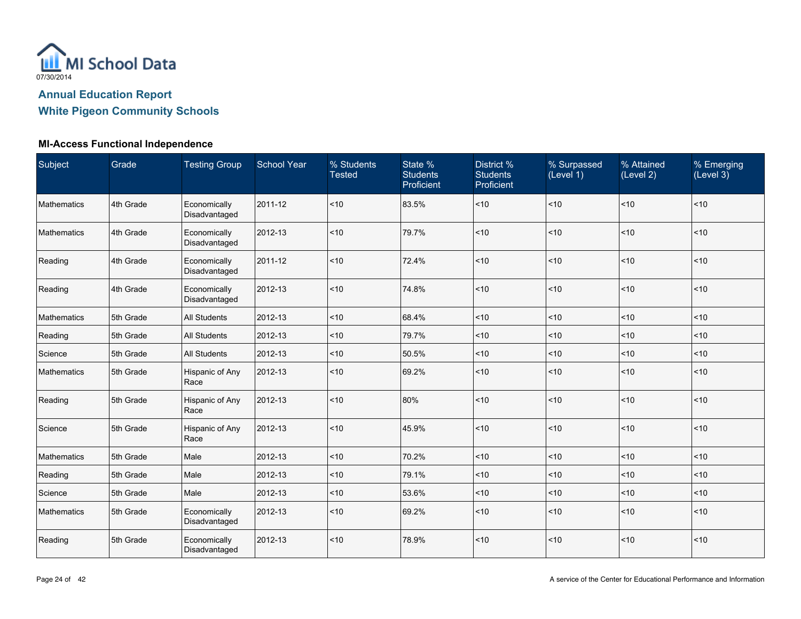

| Subject     | Grade     | <b>Testing Group</b>          | <b>School Year</b> | % Students<br><b>Tested</b> | State %<br><b>Students</b><br>Proficient | District %<br><b>Students</b><br>Proficient | % Surpassed<br>(Level 1) | % Attained<br>(Level 2) | % Emerging<br>(Level 3) |
|-------------|-----------|-------------------------------|--------------------|-----------------------------|------------------------------------------|---------------------------------------------|--------------------------|-------------------------|-------------------------|
| Mathematics | 4th Grade | Economically<br>Disadvantaged | 2011-12            | < 10                        | 83.5%                                    | ~10                                         | < 10                     | $<10$                   | ~10                     |
| Mathematics | 4th Grade | Economically<br>Disadvantaged | 2012-13            | $\vert$ < 10                | 79.7%                                    | ~10                                         | < 10                     | $<10$                   | $<10$                   |
| Reading     | 4th Grade | Economically<br>Disadvantaged | 2011-12            | < 10                        | 72.4%                                    | ~10                                         | < 10                     | < 10                    | ~10                     |
| Reading     | 4th Grade | Economically<br>Disadvantaged | 2012-13            | ~10                         | 74.8%                                    | ~10                                         | ~10                      | ~10                     | ~10                     |
| Mathematics | 5th Grade | All Students                  | 2012-13            | $<10$                       | 68.4%                                    | ~10                                         | ~10                      | < 10                    | ~10                     |
| Reading     | 5th Grade | All Students                  | 2012-13            | ~10                         | 79.7%                                    | ~10                                         | < 10                     | < 10                    | ~10                     |
| Science     | 5th Grade | <b>All Students</b>           | 2012-13            | $<10$                       | 50.5%                                    | $<10$                                       | < 10                     | $<10$                   | $<10$                   |
| Mathematics | 5th Grade | Hispanic of Any<br>Race       | 2012-13            | < 10                        | 69.2%                                    | ~10                                         | < 10                     | < 10                    | $10$                    |
| Reading     | 5th Grade | Hispanic of Any<br>Race       | 2012-13            | $<10$                       | 80%                                      | ~10                                         | < 10                     | < 10                    | $<10$                   |
| Science     | 5th Grade | Hispanic of Any<br>Race       | 2012-13            | ~10                         | 45.9%                                    | $ $ < 10                                    | < 10                     | < 10                    | ~10                     |
| Mathematics | 5th Grade | Male                          | 2012-13            | ~10                         | 70.2%                                    | ~10                                         | < 10                     | ~10                     | ~10                     |
| Reading     | 5th Grade | Male                          | 2012-13            | $ $ < 10                    | 79.1%                                    | < 10                                        | < 10                     | $ $ < 10                | ~10                     |
| Science     | 5th Grade | Male                          | 2012-13            | < 10                        | 53.6%                                    | $<10$                                       | < 10                     | $ $ < 10                | ~10                     |
| Mathematics | 5th Grade | Economically<br>Disadvantaged | 2012-13            | ~10                         | 69.2%                                    | < 10                                        | < 10                     | ~10                     | < 10                    |
| Reading     | 5th Grade | Economically<br>Disadvantaged | 2012-13            | ~10                         | 78.9%                                    | ~10                                         | < 10                     | ~10                     | $<10$                   |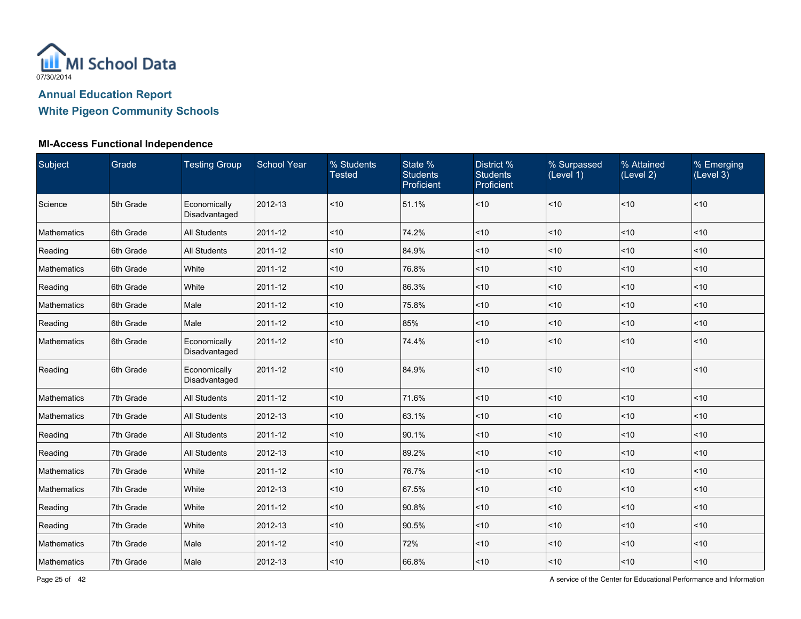

| Subject     | Grade     | <b>Testing Group</b>          | <b>School Year</b> | % Students<br><b>Tested</b> | State %<br><b>Students</b><br>Proficient | District %<br><b>Students</b><br>Proficient | % Surpassed<br>(Level 1) | % Attained<br>(Level 2) | % Emerging<br>(Level 3) |
|-------------|-----------|-------------------------------|--------------------|-----------------------------|------------------------------------------|---------------------------------------------|--------------------------|-------------------------|-------------------------|
| Science     | 5th Grade | Economically<br>Disadvantaged | 2012-13            | ~10                         | 51.1%                                    | ~10                                         | < 10                     | ~10                     | ~10                     |
| Mathematics | 6th Grade | All Students                  | 2011-12            | ~10                         | 74.2%                                    | ~10                                         | ~10                      | ~10                     | ~10                     |
| Reading     | 6th Grade | <b>All Students</b>           | 2011-12            | ~10                         | 84.9%                                    | ~10                                         | < 10                     | < 10                    | ~10                     |
| Mathematics | 6th Grade | White                         | 2011-12            | ~10                         | 76.8%                                    | ~10                                         | < 10                     | < 10                    | ~10                     |
| Reading     | 6th Grade | White                         | 2011-12            | ~10                         | 86.3%                                    | ~10                                         | < 10                     | $<10$                   | ~10                     |
| Mathematics | 6th Grade | Male                          | 2011-12            | ~10                         | 75.8%                                    | ~10                                         | < 10                     | ~10                     | ~10                     |
| Reading     | 6th Grade | Male                          | 2011-12            | < 10                        | 85%                                      | ~10                                         | < 10                     | ~10                     | < 10                    |
| Mathematics | 6th Grade | Economically<br>Disadvantaged | 2011-12            | < 10                        | 74.4%                                    | ~10                                         | < 10                     | < 10                    | < 10                    |
| Reading     | 6th Grade | Economically<br>Disadvantaged | 2011-12            | ~10                         | 84.9%                                    | ~10                                         | ~10                      | ~10                     | ~10                     |
| Mathematics | 7th Grade | <b>All Students</b>           | 2011-12            | $<10$                       | 71.6%                                    | ~10                                         | < 10                     | $<10$                   | ~10                     |
| Mathematics | 7th Grade | <b>All Students</b>           | 2012-13            | < 10                        | 63.1%                                    | ~10                                         | < 10                     | $ $ < 10                | < 10                    |
| Reading     | 7th Grade | <b>All Students</b>           | 2011-12            | < 10                        | 90.1%                                    | $<10$                                       | < 10                     | < 10                    | < 10                    |
| Reading     | 7th Grade | All Students                  | 2012-13            | ~10                         | 89.2%                                    | $<10$                                       | < 10                     | $<10$                   | $<10$                   |
| Mathematics | 7th Grade | White                         | 2011-12            | ~10                         | 76.7%                                    | ~10                                         | < 10                     | ~10                     | < 10                    |
| Mathematics | 7th Grade | White                         | 2012-13            | < 10                        | 67.5%                                    | ~10                                         | < 10                     | $ $ < 10                | < 10                    |
| Reading     | 7th Grade | White                         | 2011-12            | $<10$                       | 90.8%                                    | $ $ < 10                                    | ~10                      | $<10$                   | < 10                    |
| Reading     | 7th Grade | White                         | 2012-13            | ~10                         | 90.5%                                    | $<10$                                       | < 10                     | ~10                     | < 10                    |
| Mathematics | 7th Grade | Male                          | 2011-12            | < 10                        | 72%                                      | ~10                                         | ~10                      | < 10                    | < 10                    |
| Mathematics | 7th Grade | Male                          | 2012-13            | $<10$                       | 66.8%                                    | ~10                                         | < 10                     | < 10                    | ~10                     |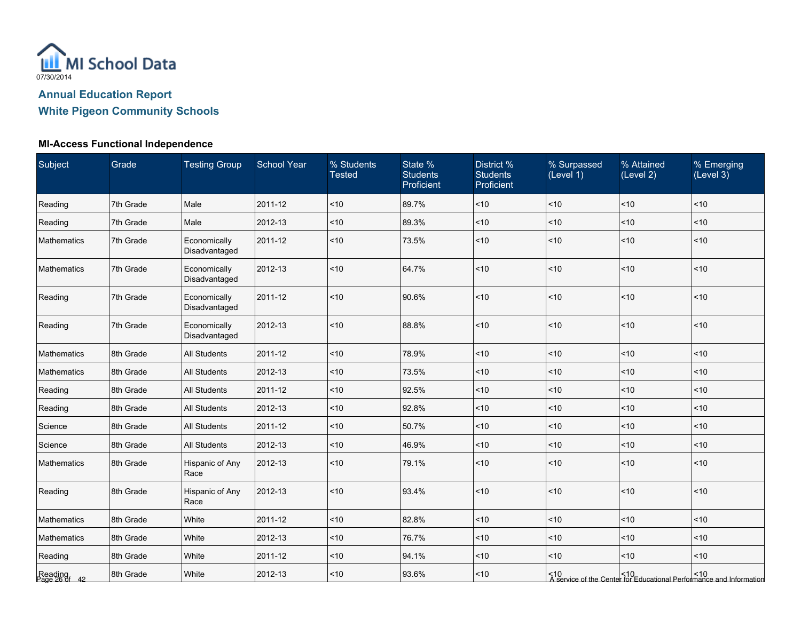

| Subject                  | Grade     | <b>Testing Group</b>          | <b>School Year</b> | % Students<br><b>Tested</b> | State %<br><b>Students</b><br>Proficient | District %<br><b>Students</b><br>Proficient | % Surpassed<br>(Level 1) | % Attained<br>(Level 2) | % Emerging<br>(Level 3)                                                                |
|--------------------------|-----------|-------------------------------|--------------------|-----------------------------|------------------------------------------|---------------------------------------------|--------------------------|-------------------------|----------------------------------------------------------------------------------------|
| Reading                  | 7th Grade | Male                          | 2011-12            | ~10                         | 89.7%                                    | ~10                                         | ~10                      | ~10                     | ~10                                                                                    |
| Reading                  | 7th Grade | Male                          | 2012-13            | $<10$                       | 89.3%                                    | ~10                                         | ~10                      | 10                      | ~10                                                                                    |
| Mathematics              | 7th Grade | Economically<br>Disadvantaged | 2011-12            | $<10$                       | 73.5%                                    | ~10                                         | ~10                      | 10                      | ~10                                                                                    |
| Mathematics              | 7th Grade | Economically<br>Disadvantaged | 2012-13            | < 10                        | 64.7%                                    | ~10                                         | < 10                     | ~10                     | <10                                                                                    |
| Reading                  | 7th Grade | Economically<br>Disadvantaged | 2011-12            | ~10                         | 90.6%                                    | ~10                                         | < 10                     | ~10                     | ~10                                                                                    |
| Reading                  | 7th Grade | Economically<br>Disadvantaged | 2012-13            | ~10                         | 88.8%                                    | ~10                                         | < 10                     | ~10                     | ~10                                                                                    |
| Mathematics              | 8th Grade | <b>All Students</b>           | 2011-12            | $<10$                       | 78.9%                                    | ~10                                         | ~10                      | ~10                     | < 10                                                                                   |
| Mathematics              | 8th Grade | <b>All Students</b>           | 2012-13            | ~10                         | 73.5%                                    | $<10$                                       | ~10                      | ~10                     | ~10                                                                                    |
| Reading                  | 8th Grade | <b>All Students</b>           | 2011-12            | ~10                         | 92.5%                                    | $<10$                                       | ~10                      | ~10                     | < 10                                                                                   |
| Reading                  | 8th Grade | <b>All Students</b>           | 2012-13            | ~10                         | 92.8%                                    | ~10                                         | ~10                      | ~10                     | ~10                                                                                    |
| Science                  | 8th Grade | <b>All Students</b>           | 2011-12            | ~10                         | 50.7%                                    | ~10                                         | ~10                      | ~10                     | ~10                                                                                    |
| Science                  | 8th Grade | <b>All Students</b>           | 2012-13            | ~10                         | 46.9%                                    | ~10                                         | ~10                      | ~10                     | < 10                                                                                   |
| Mathematics              | 8th Grade | Hispanic of Any<br>Race       | 2012-13            | $<10$                       | 79.1%                                    | ~10                                         | ~10                      | ~10                     | ~10                                                                                    |
| Reading                  | 8th Grade | Hispanic of Any<br>Race       | 2012-13            | ~10                         | 93.4%                                    | ~10                                         | < 10                     | ~10                     | ~10                                                                                    |
| Mathematics              | 8th Grade | White                         | 2011-12            | ~10                         | 82.8%                                    | ~10                                         | ~10                      | ~10                     | < 10                                                                                   |
| Mathematics              | 8th Grade | White                         | 2012-13            | ~10                         | 76.7%                                    | $<10$                                       | ~10                      | ~10                     | ~10                                                                                    |
| Reading                  | 8th Grade | White                         | 2011-12            | < 10                        | 94.1%                                    | ~10                                         | < 10                     | ~10                     | < 10                                                                                   |
| Reading<br>Page 26 of 42 | 8th Grade | White                         | 2012-13            | < 10                        | 93.6%                                    | ~10                                         |                          |                         | <10 <10 <10 <10<br>A service of the Center for Educational Performance and Information |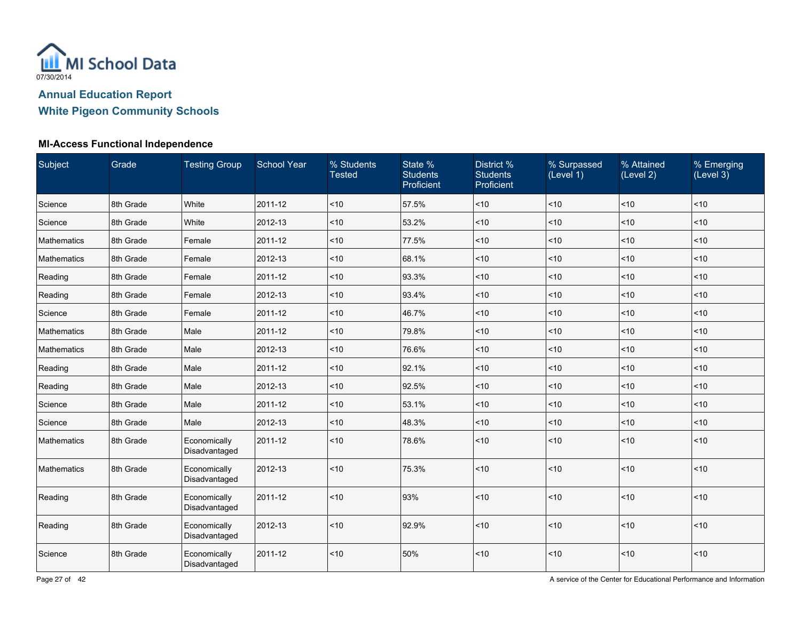

| Subject     | Grade     | <b>Testing Group</b>          | <b>School Year</b> | % Students<br><b>Tested</b> | State %<br><b>Students</b><br>Proficient | District %<br><b>Students</b><br>Proficient | % Surpassed<br>(Level 1) | % Attained<br>(Level 2) | % Emerging<br>(Level 3) |
|-------------|-----------|-------------------------------|--------------------|-----------------------------|------------------------------------------|---------------------------------------------|--------------------------|-------------------------|-------------------------|
| Science     | 8th Grade | White                         | 2011-12            | ~10                         | 57.5%                                    | $<10$                                       | 10                       | ~10                     | ~10                     |
| Science     | 8th Grade | White                         | 2012-13            | < 10                        | 53.2%                                    | ~10                                         | ~10                      | ~10                     | < 10                    |
| Mathematics | 8th Grade | Female                        | 2011-12            | ~10                         | 77.5%                                    | < 10                                        | < 10                     | ~10                     | < 10                    |
| Mathematics | 8th Grade | Female                        | 2012-13            | ~10                         | 68.1%                                    | < 10                                        | < 10                     | < 10                    | < 10                    |
| Reading     | 8th Grade | Female                        | 2011-12            | ~10                         | 93.3%                                    | $ $ < 10                                    | 10                       | ~10                     | ~10                     |
| Reading     | 8th Grade | Female                        | 2012-13            | < 10                        | 93.4%                                    | < 10                                        | < 10                     | < 10                    | < 10                    |
| Science     | 8th Grade | Female                        | 2011-12            | < 10                        | 46.7%                                    | $\leq 10$                                   | ~10                      | < 10                    | < 10                    |
| Mathematics | 8th Grade | Male                          | 2011-12            | $<10$                       | 79.8%                                    | < 10                                        | 10                       | ~10                     | ~10                     |
| Mathematics | 8th Grade | Male                          | 2012-13            | < 10                        | 76.6%                                    | ~10                                         | < 10                     | ~10                     | < 10                    |
| Reading     | 8th Grade | Male                          | 2011-12            | < 10                        | 92.1%                                    | < 10                                        | ~10                      | < 10                    | ~10                     |
| Reading     | 8th Grade | Male                          | 2012-13            | ~10                         | 92.5%                                    | ~10                                         | 10                       | ~10                     | ~10                     |
| Science     | 8th Grade | Male                          | 2011-12            | ~10                         | 53.1%                                    | ~10                                         | 10                       | ~10                     | ~10                     |
| Science     | 8th Grade | Male                          | 2012-13            | < 10                        | 48.3%                                    | < 10                                        | < 10                     | < 10                    | < 10                    |
| Mathematics | 8th Grade | Economically<br>Disadvantaged | 2011-12            | ~10                         | 78.6%                                    | ~10                                         | ~10                      | ~10                     | ~10                     |
| Mathematics | 8th Grade | Economically<br>Disadvantaged | 2012-13            | $<10$                       | 75.3%                                    | < 10                                        | ~10                      | < 10                    | < 10                    |
| Reading     | 8th Grade | Economically<br>Disadvantaged | 2011-12            | < 10                        | 93%                                      | $ $ < 10                                    | ~10                      | ~10                     | ~10                     |
| Reading     | 8th Grade | Economically<br>Disadvantaged | 2012-13            | $<10$                       | 92.9%                                    | $<10$                                       | 10                       | $<10$                   | ~10                     |
| Science     | 8th Grade | Economically<br>Disadvantaged | 2011-12            | $<10$                       | 50%                                      | $<10$                                       | ~10                      | ~10                     | ~10                     |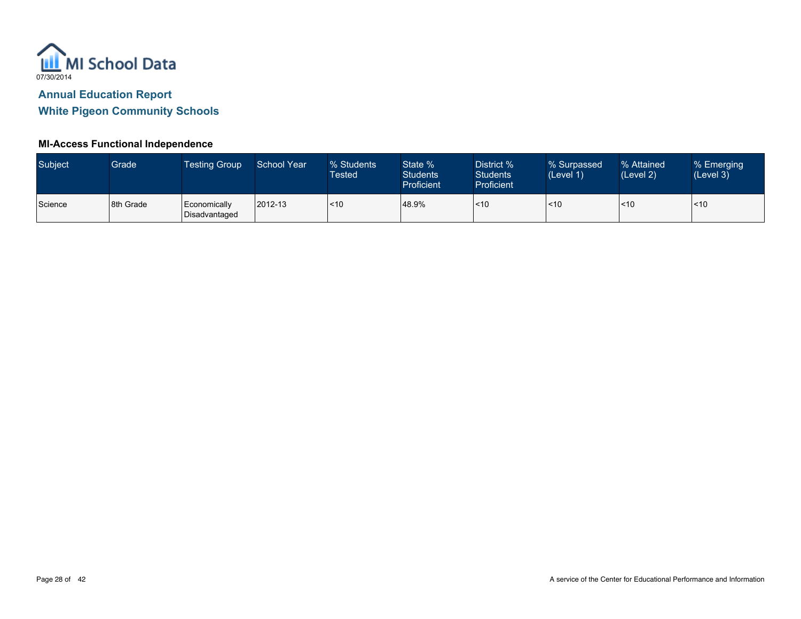

| Subject | Grade     | <b>Testing Group</b>          | School Year | % Students<br>Tested | State %<br><b>Students</b><br>Proficient | District %<br><b>Students</b><br>Proficient | % Surpassed<br>(Level 1) | % Attained<br>(Level 2) | % Emerging<br>(Level 3) |
|---------|-----------|-------------------------------|-------------|----------------------|------------------------------------------|---------------------------------------------|--------------------------|-------------------------|-------------------------|
| Science | 8th Grade | Economically<br>Disadvantaged | 2012-13     | ~10                  | 48.9%                                    | $\leq 10$                                   | <10                      | < 10                    | <10                     |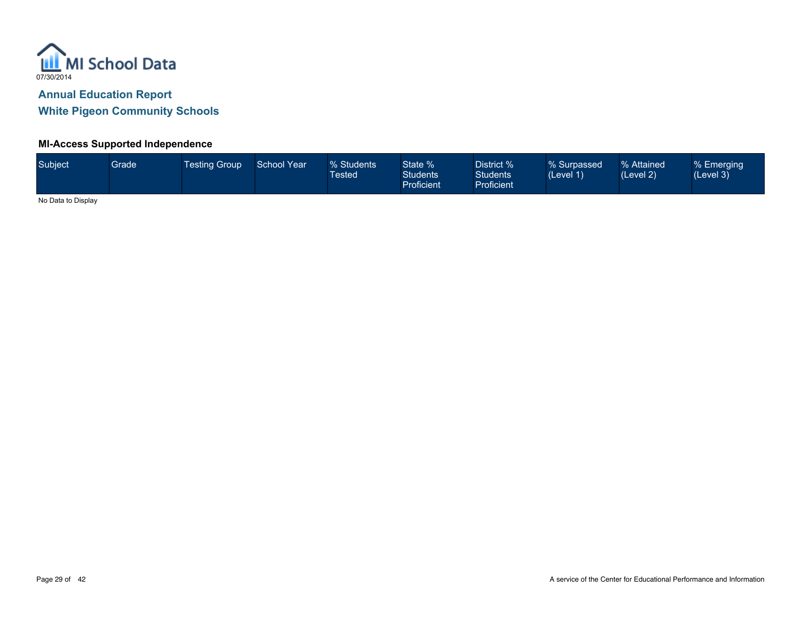

#### **MI-Access Supported Independence**

| Subject             | <b>Grade</b> | <b>Testing Group</b> | School Year | % Students<br><b>Tested</b> | State %<br><b>Students</b><br>Proficient | District % <sup>1</sup><br>Students<br>Proficient | % Surpassed<br>(Level 1) | % Attained<br>(Level 2) | % Emerging<br>(Level 3) |
|---------------------|--------------|----------------------|-------------|-----------------------------|------------------------------------------|---------------------------------------------------|--------------------------|-------------------------|-------------------------|
| Ala Data ta Diastau |              |                      |             |                             |                                          |                                                   |                          |                         |                         |

No Data to Display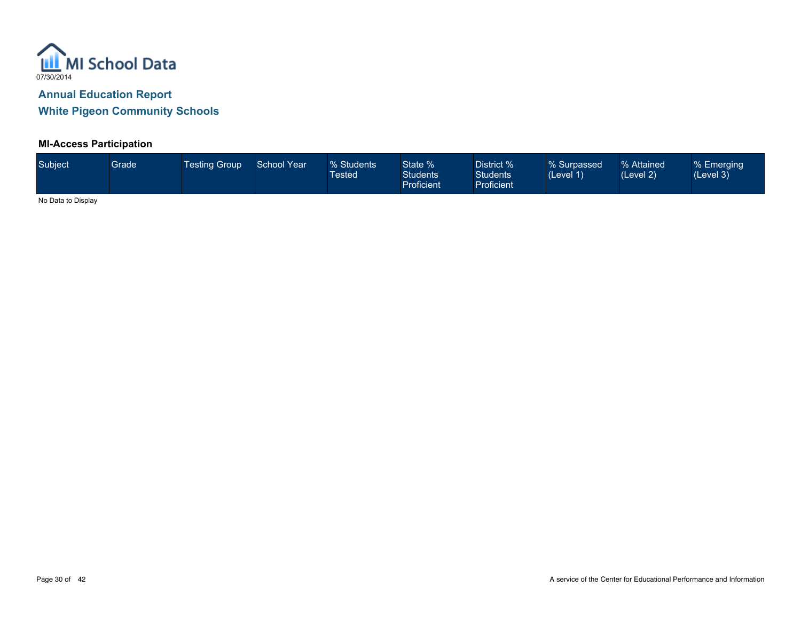

#### **MI-Access Participation**

| Subject                        | <b>Grade</b> | <b>Testing Group</b> | <b>School Year</b> | % Students<br>Tested\ | State %<br><b>Students</b><br><b>Proficient</b> | District %<br><b>Students</b><br><b>Proficient</b> | % Surpassed<br>(Level 1) | % Attained<br>(Level 2) | % Emerging<br>(Level 3) |
|--------------------------------|--------------|----------------------|--------------------|-----------------------|-------------------------------------------------|----------------------------------------------------|--------------------------|-------------------------|-------------------------|
| <b>ALCOHOL: IN INSTRUCTION</b> |              |                      |                    |                       |                                                 |                                                    |                          |                         |                         |

No Data to Display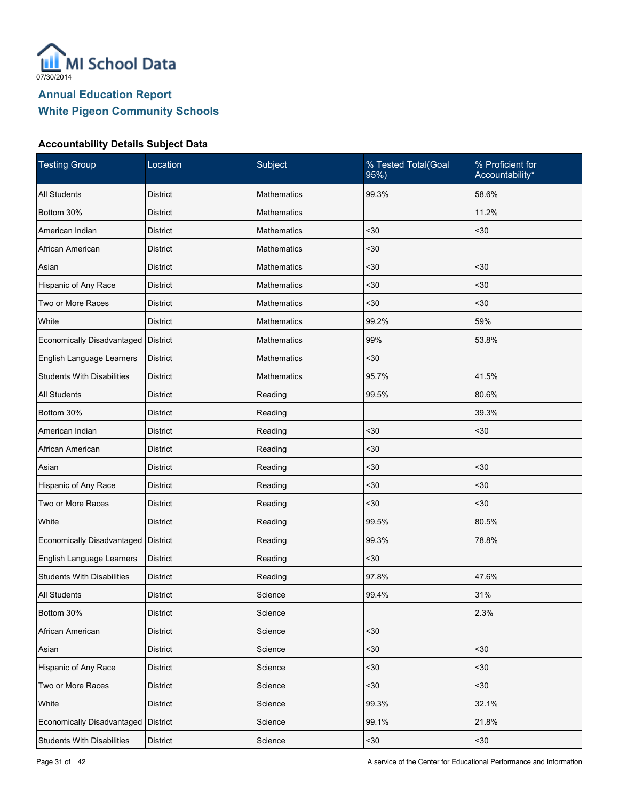

#### **Accountability Details Subject Data**

| <b>Testing Group</b>                | Location        | Subject            | % Tested Total(Goal<br>95%) | % Proficient for<br>Accountability* |
|-------------------------------------|-----------------|--------------------|-----------------------------|-------------------------------------|
| <b>All Students</b>                 | <b>District</b> | <b>Mathematics</b> | 99.3%                       | 58.6%                               |
| Bottom 30%                          | <b>District</b> | <b>Mathematics</b> |                             | 11.2%                               |
| American Indian                     | <b>District</b> | Mathematics        | $30$                        | $30$                                |
| African American                    | <b>District</b> | Mathematics        | $30$                        |                                     |
| Asian                               | <b>District</b> | Mathematics        | $30$                        | $30$                                |
| Hispanic of Any Race                | <b>District</b> | Mathematics        | $30$                        | $30$                                |
| Two or More Races                   | <b>District</b> | Mathematics        | $30$                        | $30$                                |
| White                               | <b>District</b> | Mathematics        | 99.2%                       | 59%                                 |
| Economically Disadvantaged          | <b>District</b> | Mathematics        | 99%                         | 53.8%                               |
| English Language Learners           | <b>District</b> | Mathematics        | $30$                        |                                     |
| <b>Students With Disabilities</b>   | <b>District</b> | Mathematics        | 95.7%                       | 41.5%                               |
| All Students                        | <b>District</b> | Reading            | 99.5%                       | 80.6%                               |
| Bottom 30%                          | <b>District</b> | Reading            |                             | 39.3%                               |
| American Indian                     | <b>District</b> | Reading            | $30$                        | $30$                                |
| African American                    | <b>District</b> | Reading            | $30$                        |                                     |
| Asian                               | <b>District</b> | Reading            | $30$                        | $30$                                |
| Hispanic of Any Race                | <b>District</b> | Reading            | $30$                        | $30$                                |
| Two or More Races                   | <b>District</b> | Reading            | $30$                        | $30$                                |
| White                               | <b>District</b> | Reading            | 99.5%                       | 80.5%                               |
| Economically Disadvantaged          | <b>District</b> | Reading            | 99.3%                       | 78.8%                               |
| English Language Learners           | <b>District</b> | Reading            | $30$                        |                                     |
| <b>Students With Disabilities</b>   | <b>District</b> | Reading            | 97.8%                       | 47.6%                               |
| <b>All Students</b>                 | <b>District</b> | Science            | 99.4%                       | 31%                                 |
| Bottom 30%                          | <b>District</b> | Science            |                             | 2.3%                                |
| African American                    | District        | Science            | $30$                        |                                     |
| Asian                               | <b>District</b> | Science            | $30$                        | $30$                                |
| Hispanic of Any Race                | <b>District</b> | Science            | $30$                        | $30$                                |
| Two or More Races                   | <b>District</b> | Science            | $30$                        | $30$                                |
| White                               | District        | Science            | 99.3%                       | 32.1%                               |
| Economically Disadvantaged District |                 | Science            | 99.1%                       | 21.8%                               |
| <b>Students With Disabilities</b>   | <b>District</b> | Science            | $30$                        | $30$                                |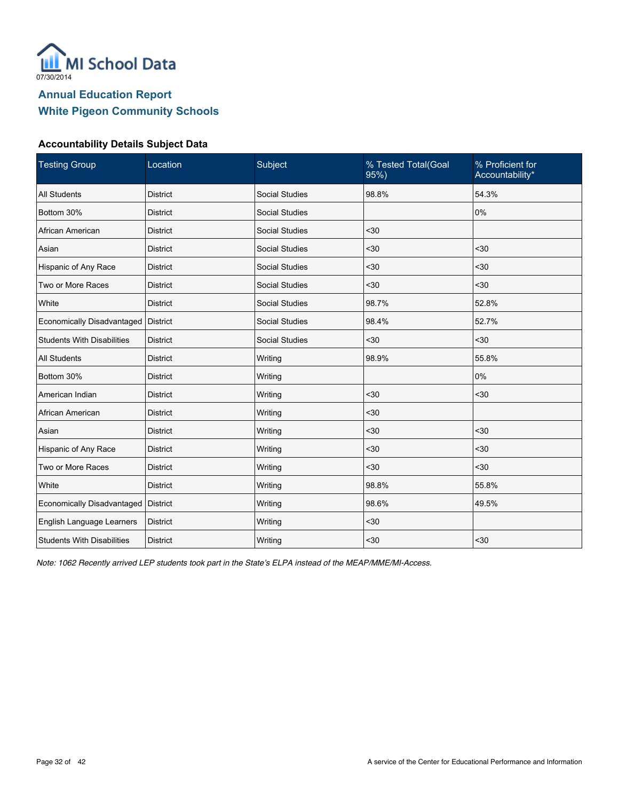

#### **Accountability Details Subject Data**

| <b>Testing Group</b>              | Location        | Subject               | % Tested Total(Goal<br>95%) | % Proficient for<br>Accountability* |
|-----------------------------------|-----------------|-----------------------|-----------------------------|-------------------------------------|
| <b>All Students</b>               | <b>District</b> | <b>Social Studies</b> | 98.8%                       | 54.3%                               |
| Bottom 30%                        | <b>District</b> | <b>Social Studies</b> |                             | 0%                                  |
| African American                  | <b>District</b> | Social Studies        | < 30                        |                                     |
| Asian                             | <b>District</b> | <b>Social Studies</b> | $30$                        | $30$                                |
| Hispanic of Any Race              | <b>District</b> | <b>Social Studies</b> | $30$                        | $30$                                |
| Two or More Races                 | <b>District</b> | <b>Social Studies</b> | $30$                        | $30$                                |
| White                             | <b>District</b> | <b>Social Studies</b> | 98.7%                       | 52.8%                               |
| Economically Disadvantaged        | <b>District</b> | <b>Social Studies</b> | 98.4%                       | 52.7%                               |
| <b>Students With Disabilities</b> | <b>District</b> | <b>Social Studies</b> | $30$                        | $30$                                |
| <b>All Students</b>               | <b>District</b> | Writing               | 98.9%                       | 55.8%                               |
| Bottom 30%                        | <b>District</b> | Writing               |                             | 0%                                  |
| American Indian                   | <b>District</b> | Writing               | $30$                        | $30$                                |
| African American                  | <b>District</b> | Writing               | $30$                        |                                     |
| Asian                             | <b>District</b> | Writing               | $30$                        | $30$                                |
| Hispanic of Any Race              | <b>District</b> | Writing               | $30$                        | $30$                                |
| Two or More Races                 | <b>District</b> | Writing               | $30$                        | $30$                                |
| White                             | <b>District</b> | Writing               | 98.8%                       | 55.8%                               |
| Economically Disadvantaged        | <b>District</b> | Writing               | 98.6%                       | 49.5%                               |
| English Language Learners         | <b>District</b> | Writing               | $30$                        |                                     |
| <b>Students With Disabilities</b> | <b>District</b> | Writing               | $30$                        | $30$                                |

*Note: 1062 Recently arrived LEP students took part in the State's ELPA instead of the MEAP/MME/MI-Access.*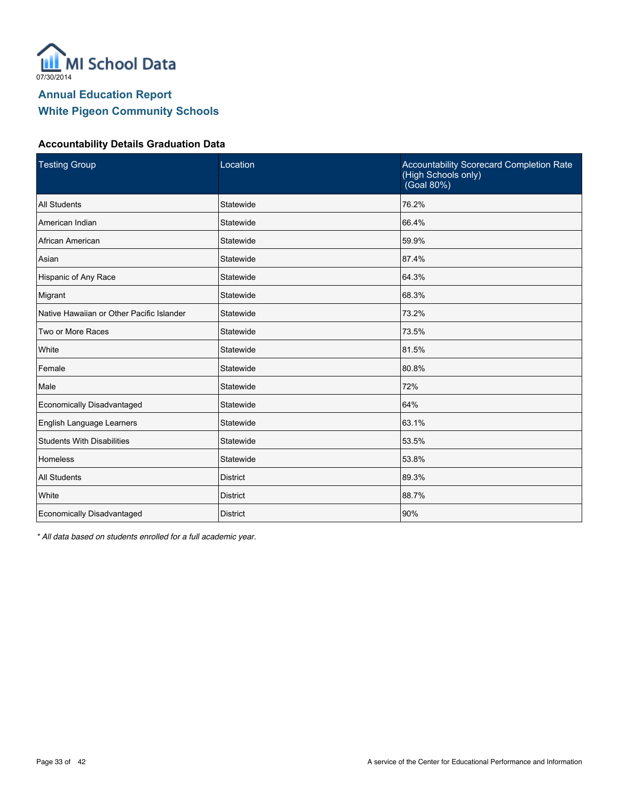

#### **Accountability Details Graduation Data**

| <b>Testing Group</b>                      | Location        | <b>Accountability Scorecard Completion Rate</b><br>(High Schools only)<br>(Goal 80%) |
|-------------------------------------------|-----------------|--------------------------------------------------------------------------------------|
| All Students                              | Statewide       | 76.2%                                                                                |
| American Indian                           | Statewide       | 66.4%                                                                                |
| African American                          | Statewide       | 59.9%                                                                                |
| Asian                                     | Statewide       | 87.4%                                                                                |
| Hispanic of Any Race                      | Statewide       | 64.3%                                                                                |
| Migrant                                   | Statewide       | 68.3%                                                                                |
| Native Hawaiian or Other Pacific Islander | Statewide       | 73.2%                                                                                |
| Two or More Races                         | Statewide       | 73.5%                                                                                |
| White                                     | Statewide       | 81.5%                                                                                |
| Female                                    | Statewide       | 80.8%                                                                                |
| Male                                      | Statewide       | 72%                                                                                  |
| Economically Disadvantaged                | Statewide       | 64%                                                                                  |
| English Language Learners                 | Statewide       | 63.1%                                                                                |
| <b>Students With Disabilities</b>         | Statewide       | 53.5%                                                                                |
| <b>Homeless</b>                           | Statewide       | 53.8%                                                                                |
| All Students                              | <b>District</b> | 89.3%                                                                                |
| White                                     | <b>District</b> | 88.7%                                                                                |
| Economically Disadvantaged                | <b>District</b> | 90%                                                                                  |

*\* All data based on students enrolled for a full academic year.*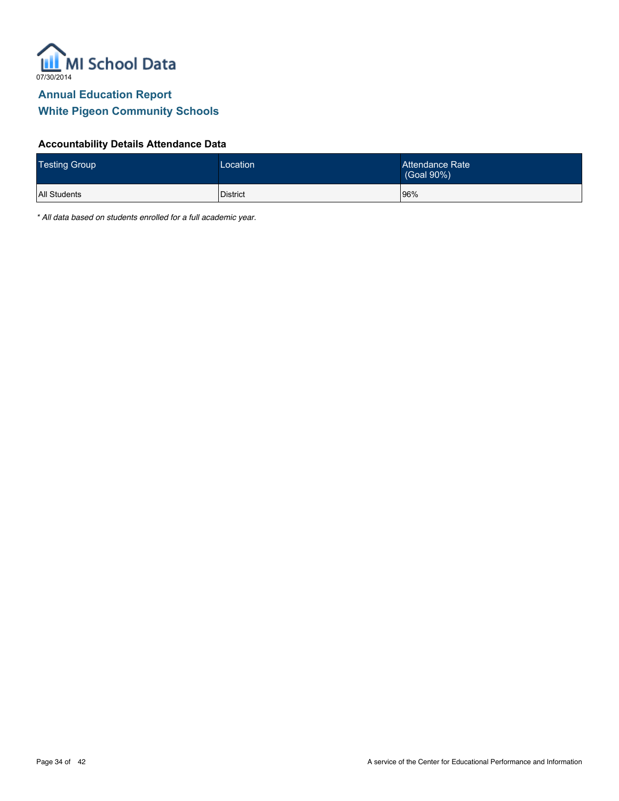

#### **Accountability Details Attendance Data**

| <b>Testing Group</b> | Location | Attendance Rate<br>(Goal 90%) |
|----------------------|----------|-------------------------------|
| All Students         | District | 96%                           |

*\* All data based on students enrolled for a full academic year.*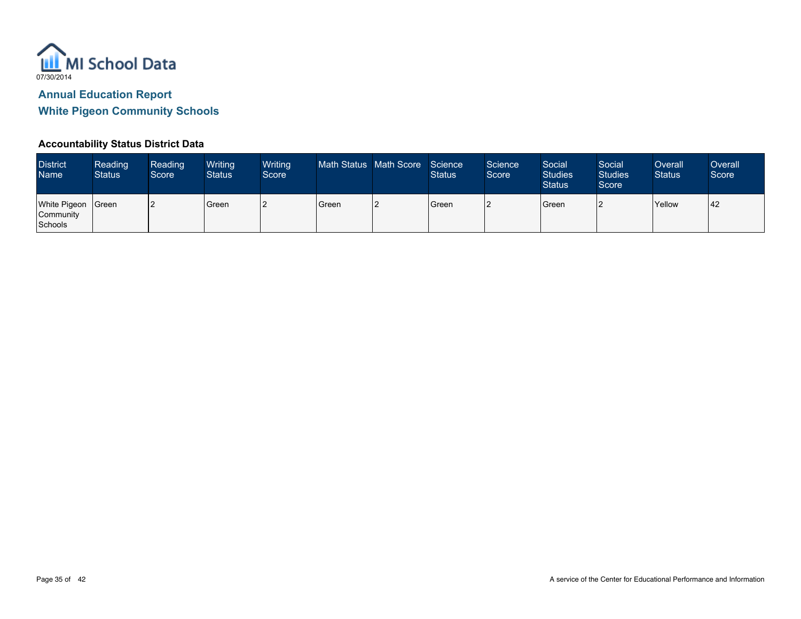

#### **Accountability Status District Data**

| <b>District</b><br><b>Name</b>              | <b>Reading</b><br><b>Status</b> | <b>Reading</b><br>Score | Writing<br><b>Status</b> | Writing<br>Score | Math Status   Math Score | Science<br><b>Status</b> | <b>Science</b><br>Score | Social<br><b>Studies</b><br><b>Status</b> | Social<br>Studies <sup>1</sup><br>Score | Overall<br><b>Status</b> | Overall<br>Score |
|---------------------------------------------|---------------------------------|-------------------------|--------------------------|------------------|--------------------------|--------------------------|-------------------------|-------------------------------------------|-----------------------------------------|--------------------------|------------------|
| <b>White Pigeon</b><br>Community<br>Schools | <b>S</b> reen                   |                         | l Green                  | ╺                | Green                    | Green                    |                         | Green                                     |                                         | <b>Yellow</b>            | 42               |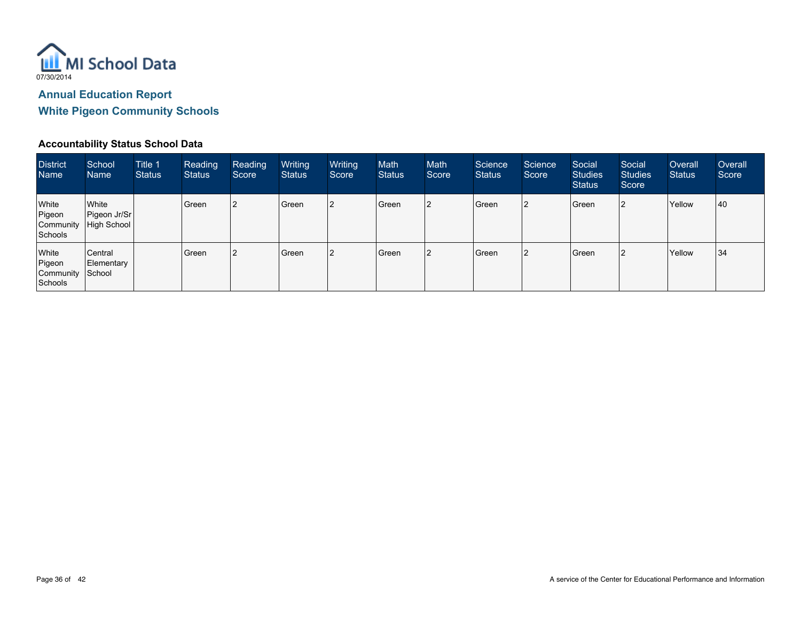

#### **Accountability Status School Data**

| <b>District</b><br><b>Name</b>                 | School<br><b>Name</b>                            | Title 1<br>Status | Reading<br><b>Status</b> | Reading<br>Score | Writing<br><b>Status</b> | Writing<br>Score | Math<br><b>Status</b> | Math<br>Score | Science<br><b>Status</b> | Science<br>Score | Social<br><b>Studies</b><br><b>Status</b> | Social<br><b>Studies</b><br>Score | Overall<br><b>Status</b> | Overall<br>Score |
|------------------------------------------------|--------------------------------------------------|-------------------|--------------------------|------------------|--------------------------|------------------|-----------------------|---------------|--------------------------|------------------|-------------------------------------------|-----------------------------------|--------------------------|------------------|
| White<br>Pigeon<br>Schools                     | White<br>Pigeon Jr/Sr<br>Community   High School |                   | Green                    | 2                | l Green                  |                  | Green                 | 12            | Green                    | 12               | Green                                     | l2                                | Yellow                   | 40               |
| White<br>Pigeon<br>Community School<br>Schools | Central<br>Elementary                            |                   | Green                    | 12               | Green                    |                  | Green                 |               | Green                    | 12               | Green                                     | l2                                | Yellow                   | 34               |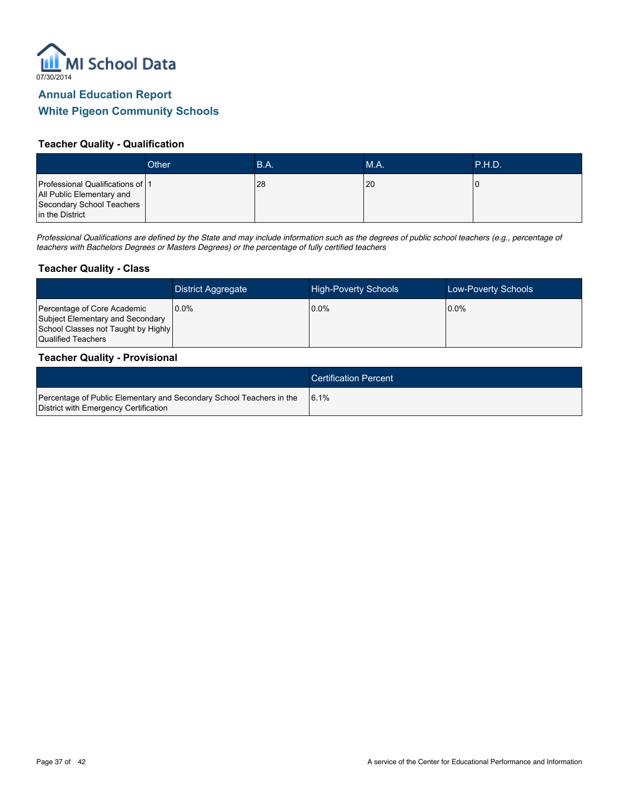

#### **Teacher Quality - Qualification**

|                                                                                                               | Other | B.A. | MA. | IP.H.D. |
|---------------------------------------------------------------------------------------------------------------|-------|------|-----|---------|
| Professional Qualifications of 1<br>All Public Elementary and<br>Secondary School Teachers<br>in the District |       | 28   | 20  |         |

*Professional Qualifications are defined by the State and may include information such as the degrees of public school teachers (e.g., percentage of teachers with Bachelors Degrees or Masters Degrees) or the percentage of fully certified teachers*

#### **Teacher Quality - Class**

|                                                                                                                              | <b>District Aggregate</b> | <b>High-Poverty Schools</b> | Low-Poverty Schools |
|------------------------------------------------------------------------------------------------------------------------------|---------------------------|-----------------------------|---------------------|
| Percentage of Core Academic<br>Subject Elementary and Secondary<br>School Classes not Taught by Highly<br>Qualified Teachers | $0.0\%$                   | $0.0\%$                     | $0.0\%$             |

#### **Teacher Quality - Provisional**

|                                                                                                               | <b>Certification Percent</b> |
|---------------------------------------------------------------------------------------------------------------|------------------------------|
| Percentage of Public Elementary and Secondary School Teachers in the<br>District with Emergency Certification | 16.1%                        |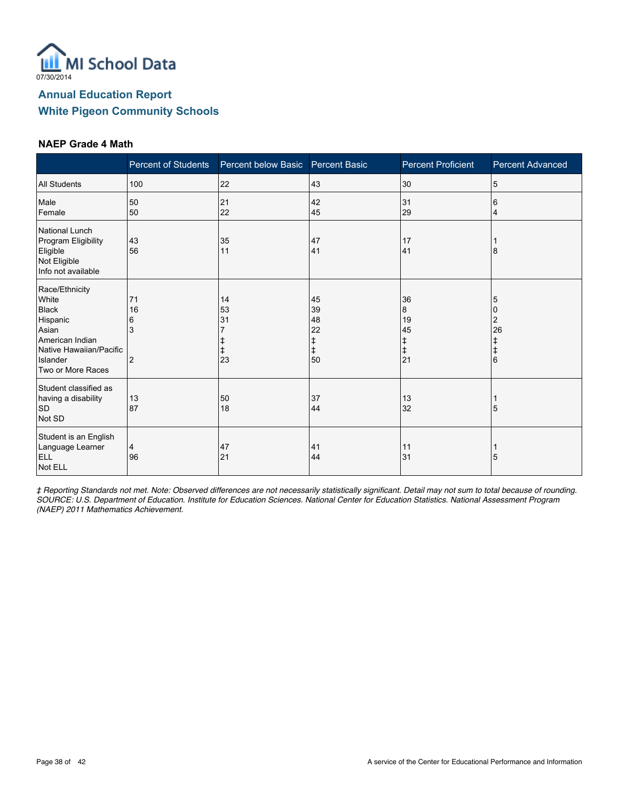

#### **NAEP Grade 4 Math**

|                                                                                                                                             | <b>Percent of Students</b>           | Percent below Basic  | <b>Percent Basic</b>                          | <b>Percent Proficient</b>            | <b>Percent Advanced</b> |
|---------------------------------------------------------------------------------------------------------------------------------------------|--------------------------------------|----------------------|-----------------------------------------------|--------------------------------------|-------------------------|
| <b>All Students</b>                                                                                                                         | 100                                  | 22                   | 43                                            | 30                                   | 5                       |
| Male<br>Female                                                                                                                              | 50<br>50                             | 21<br>22             | 42<br>45                                      | 31<br>29                             | 6<br>4                  |
| National Lunch<br>Program Eligibility<br>Eligible<br>Not Eligible<br>Info not available                                                     | 43<br>56                             | 35<br>11             | 47<br>41                                      | 17<br>41                             | 8                       |
| Race/Ethnicity<br>White<br><b>Black</b><br>Hispanic<br>Asian<br>American Indian<br>Native Hawaiian/Pacific<br>Islander<br>Two or More Races | 71<br>16<br>6<br>3<br>$\overline{c}$ | 14<br>53<br>31<br>23 | 45<br>39<br>48<br>22<br>ŧ<br>$\ddagger$<br>50 | 36<br>8<br>19<br>45<br>ŧ,<br>ŧ<br>21 | 5<br>2<br>26<br>l 6     |
| Student classified as<br>having a disability<br><b>SD</b><br>Not SD                                                                         | 13<br>87                             | 50<br>18             | 37<br>44                                      | 13<br>32                             | 5                       |
| Student is an English<br>Language Learner<br>ELL<br>Not ELL                                                                                 | 4<br>96                              | 47<br>21             | 41<br>44                                      | 11<br>31                             | 5                       |

*‡ Reporting Standards not met. Note: Observed differences are not necessarily statistically significant. Detail may not sum to total because of rounding. SOURCE: U.S. Department of Education. Institute for Education Sciences. National Center for Education Statistics. National Assessment Program (NAEP) 2011 Mathematics Achievement.*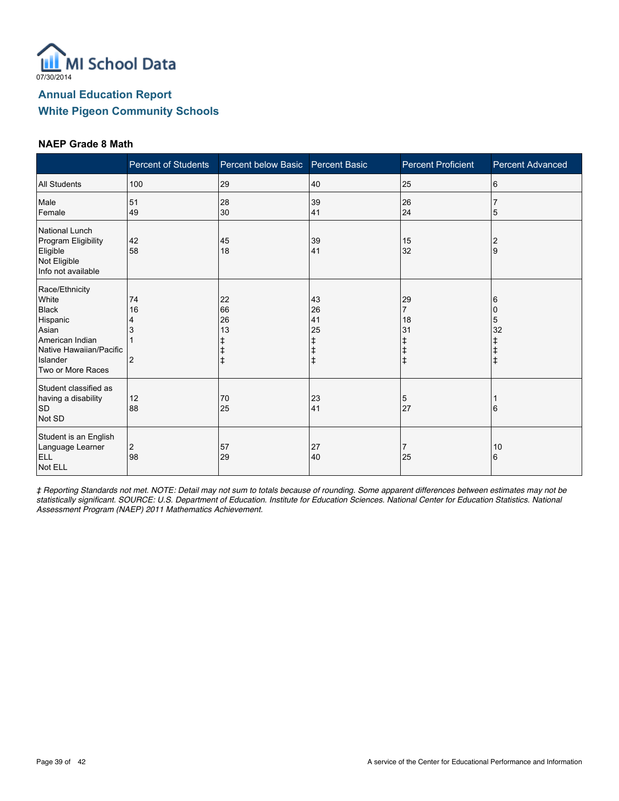

#### **NAEP Grade 8 Math**

|                                                                                                                                             | <b>Percent of Students</b>           | Percent below Basic Percent Basic |                                                       | <b>Percent Proficient</b> | <b>Percent Advanced</b> |
|---------------------------------------------------------------------------------------------------------------------------------------------|--------------------------------------|-----------------------------------|-------------------------------------------------------|---------------------------|-------------------------|
| <b>All Students</b>                                                                                                                         | 100                                  | 29                                | 40                                                    | 25                        | 6                       |
| Male<br>Female                                                                                                                              | 51<br>49                             | 28<br>30                          | 39<br>41                                              | 26<br>24                  | 5                       |
| National Lunch<br>Program Eligibility<br>Eligible<br>Not Eligible<br>Info not available                                                     | 42<br>58                             | 45<br>18                          | 39<br>41                                              | 15<br>32                  | 2<br>9                  |
| Race/Ethnicity<br>White<br><b>Black</b><br>Hispanic<br>Asian<br>American Indian<br>Native Hawaiian/Pacific<br>Islander<br>Two or More Races | 74<br>16<br>4<br>3<br>$\overline{2}$ | 22<br>66<br>26<br>13<br>‡         | 43<br>26<br>41<br>25<br>ŧ<br>$\ddagger$<br>$\ddagger$ | 29<br>7<br>18<br>31<br>l‡ | 6<br>5<br>32            |
| Student classified as<br>having a disability<br><b>SD</b><br>Not SD                                                                         | 12<br>88                             | 70<br>25                          | 23<br>41                                              | 5<br>27                   | 6                       |
| Student is an English<br>Language Learner<br>ELL<br>Not ELL                                                                                 | 2<br>98                              | 57<br>29                          | 27<br>40                                              | 25                        | 10<br>6                 |

*‡ Reporting Standards not met. NOTE: Detail may not sum to totals because of rounding. Some apparent differences between estimates may not be statistically significant. SOURCE: U.S. Department of Education. Institute for Education Sciences. National Center for Education Statistics. National Assessment Program (NAEP) 2011 Mathematics Achievement.*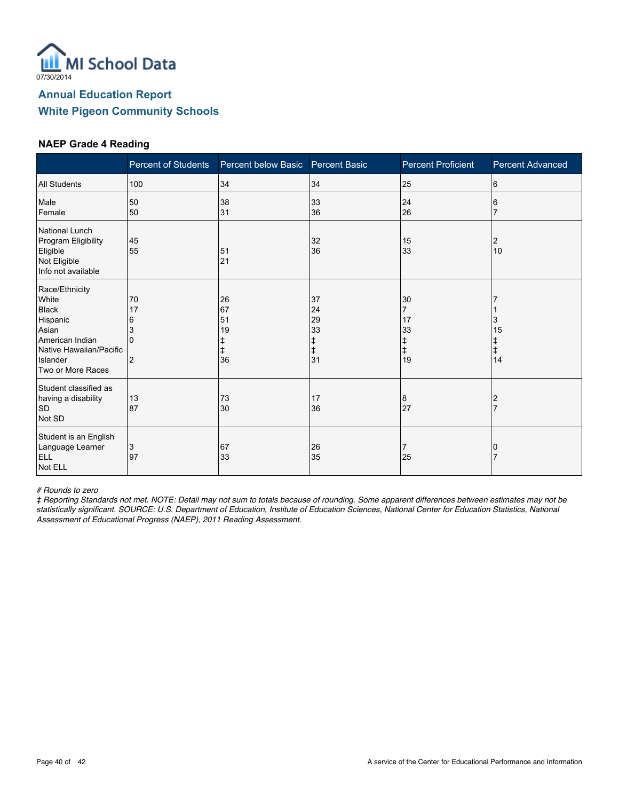

#### **NAEP Grade 4 Reading**

|                                                                                                                                             | <b>Percent of Students</b>                       | Percent below Basic             | <b>Percent Basic</b>                 | <b>Percent Proficient</b>                                 | <b>Percent Advanced</b> |
|---------------------------------------------------------------------------------------------------------------------------------------------|--------------------------------------------------|---------------------------------|--------------------------------------|-----------------------------------------------------------|-------------------------|
| <b>All Students</b>                                                                                                                         | 100                                              | 34                              | 34                                   | 25                                                        | 6                       |
| Male<br>Female                                                                                                                              | 50<br>50                                         | 38<br>31                        | 33<br>36                             | 24<br>26                                                  | 6                       |
| National Lunch<br>Program Eligibility<br>Eligible<br>Not Eligible<br>Info not available                                                     | 45<br>55                                         | 51<br>21                        | 32<br>36                             | 15<br>33                                                  | 2<br>10                 |
| Race/Ethnicity<br>White<br><b>Black</b><br>Hispanic<br>Asian<br>American Indian<br>Native Hawaiian/Pacific<br>Islander<br>Two or More Races | 70<br>17<br>6<br>3<br>$\Omega$<br>$\overline{2}$ | 26<br>67<br>51<br>19<br>ŧ<br>36 | 37<br>24<br>29<br>33<br>ŧ<br>ŧ<br>31 | 30<br>$\overline{7}$<br>17<br>33<br>ŧ<br>$\ddagger$<br>19 | 3<br>15<br>ŧ<br>14      |
| Student classified as<br>having a disability<br><b>SD</b><br>Not SD                                                                         | 13<br>87                                         | 73<br>30                        | 17<br>36                             | 8<br>27                                                   | 2                       |
| Student is an English<br>Language Learner<br>ELL<br>Not ELL                                                                                 | 3<br>97                                          | 67<br>33                        | 26<br>35                             | 7<br>25                                                   | 0                       |

*# Rounds to zero*

*‡ Reporting Standards not met. NOTE: Detail may not sum to totals because of rounding. Some apparent differences between estimates may not be statistically significant. SOURCE: U.S. Department of Education, Institute of Education Sciences, National Center for Education Statistics, National Assessment of Educational Progress (NAEP), 2011 Reading Assessment.*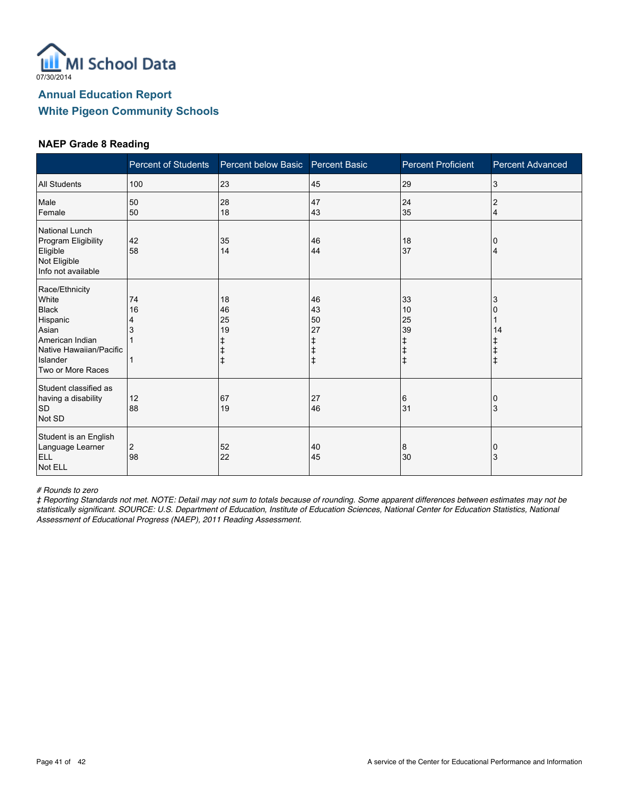

#### **NAEP Grade 8 Reading**

|                                                                                                                                             | Percent of Students | Percent below Basic Percent Basic |                                                       | <b>Percent Proficient</b>  | <b>Percent Advanced</b> |
|---------------------------------------------------------------------------------------------------------------------------------------------|---------------------|-----------------------------------|-------------------------------------------------------|----------------------------|-------------------------|
| <b>All Students</b>                                                                                                                         | 100                 | 23                                | 45                                                    | 29                         | 3                       |
| Male<br>Female                                                                                                                              | 50<br>50            | 28<br>18                          | 47<br>43                                              | 24<br>35                   | $\overline{2}$<br>4     |
| National Lunch<br>Program Eligibility<br>Eligible<br>Not Eligible<br>Info not available                                                     | 42<br>58            | 35<br>14                          | 46<br>44                                              | 18<br>37                   | Δ                       |
| Race/Ethnicity<br>White<br><b>Black</b><br>Hispanic<br>Asian<br>American Indian<br>Native Hawaiian/Pacific<br>Islander<br>Two or More Races | 74<br>16<br>4<br>3  | 18<br>46<br>25<br>19              | 46<br>43<br>50<br>27<br>ŧ<br>$\ddagger$<br>$\ddagger$ | 33<br>10<br>25<br>39<br>∣‡ | 3<br>14                 |
| Student classified as<br>having a disability<br><b>SD</b><br>Not SD                                                                         | 12<br>88            | 67<br>19                          | 27<br>46                                              | 6<br>31                    | 3                       |
| Student is an English<br>Language Learner<br>ELL<br>Not ELL                                                                                 | 2<br>98             | 52<br>22                          | 40<br>45                                              | 8<br>30                    | 0<br>3                  |

*# Rounds to zero*

*‡ Reporting Standards not met. NOTE: Detail may not sum to totals because of rounding. Some apparent differences between estimates may not be statistically significant. SOURCE: U.S. Department of Education, Institute of Education Sciences, National Center for Education Statistics, National Assessment of Educational Progress (NAEP), 2011 Reading Assessment.*